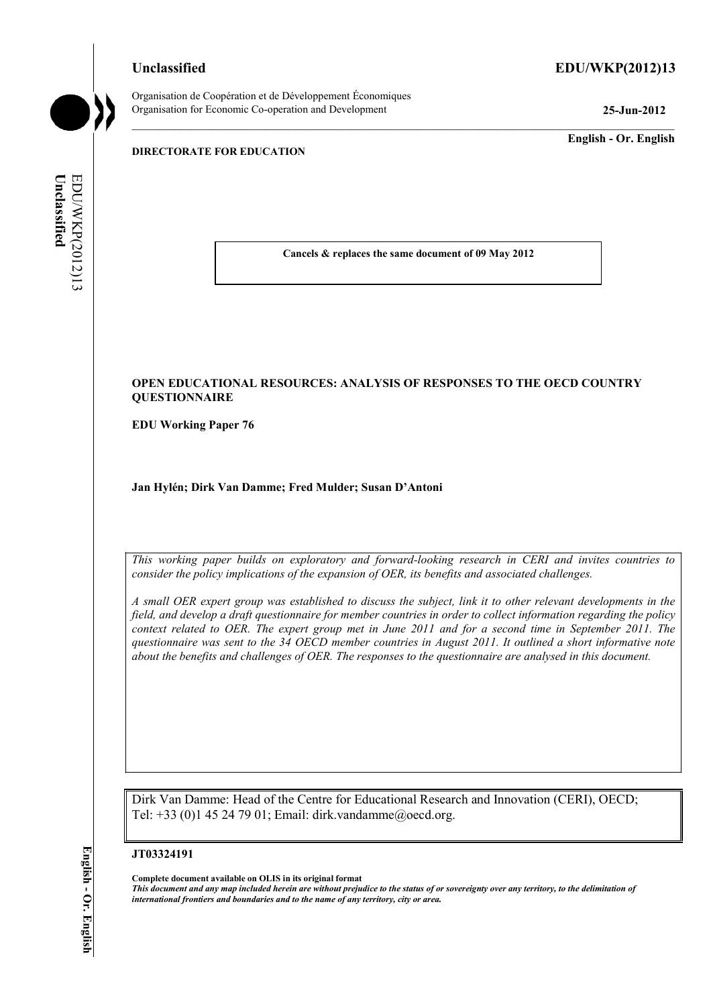# **Unclassified EDU/WKP(2012)13**

Organisation de Coopération et de Développement Économiques Organisation for Economic Co-operation and Development **25-Jun-2012** 

**English - Or. English** 

# **DIRECTORATE FOR EDUCATION**

EDUWKP(2012)13 Unclassified **Unclassified**  EDU/WKP(2012)13

**Cancels & replaces the same document of 09 May 2012** 

# **OPEN EDUCATIONAL RESOURCES: ANALYSIS OF RESPONSES TO THE OECD COUNTRY QUESTIONNAIRE**

**EDU Working Paper 76** 

**Jan Hylén; Dirk Van Damme; Fred Mulder; Susan D'Antoni** 

*This working paper builds on exploratory and forward-looking research in CERI and invites countries to consider the policy implications of the expansion of OER, its benefits and associated challenges.* 

*A small OER expert group was established to discuss the subject, link it to other relevant developments in the field, and develop a draft questionnaire for member countries in order to collect information regarding the policy context related to OER. The expert group met in June 2011 and for a second time in September 2011. The questionnaire was sent to the 34 OECD member countries in August 2011. It outlined a short informative note about the benefits and challenges of OER. The responses to the questionnaire are analysed in this document.* 

Dirk Van Damme: Head of the Centre for Educational Research and Innovation (CERI), OECD; Tel: +33 (0)1 45 24 79 01; Email: dirk.vandamme@oecd.org.

#### **JT03324191**

**Complete document available on OLIS in its original format**

*This document and any map included herein are without prejudice to the status of or sovereignty over any territory, to the delimitation of international frontiers and boundaries and to the name of any territory, city or area.*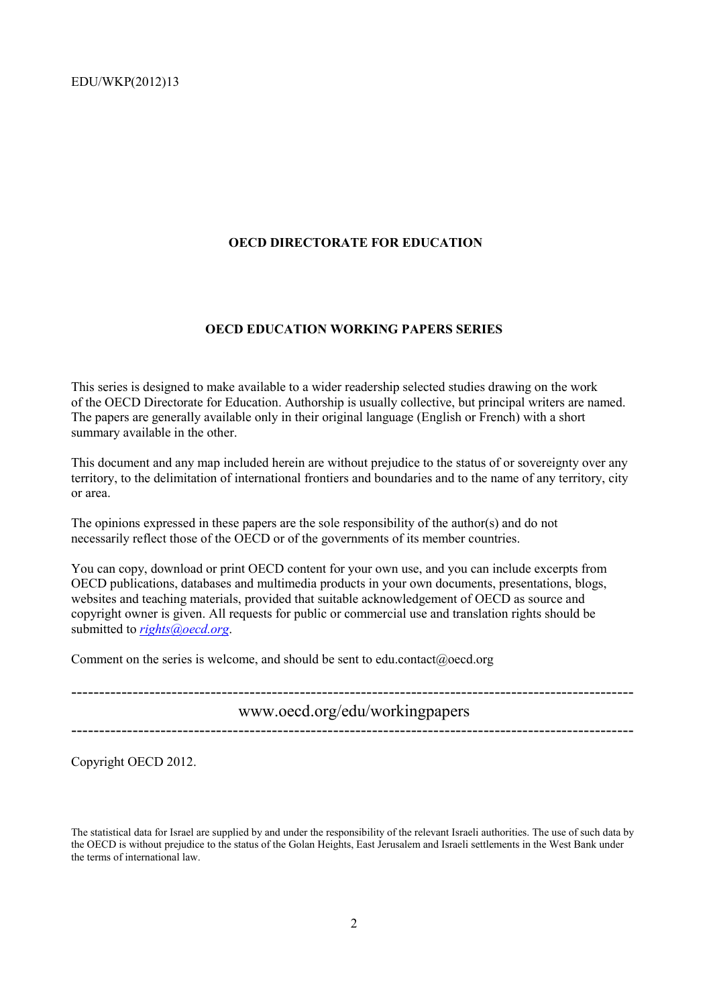# **OECD DIRECTORATE FOR EDUCATION**

#### **OECD EDUCATION WORKING PAPERS SERIES**

This series is designed to make available to a wider readership selected studies drawing on the work of the OECD Directorate for Education. Authorship is usually collective, but principal writers are named. The papers are generally available only in their original language (English or French) with a short summary available in the other.

This document and any map included herein are without prejudice to the status of or sovereignty over any territory, to the delimitation of international frontiers and boundaries and to the name of any territory, city or area.

The opinions expressed in these papers are the sole responsibility of the author(s) and do not necessarily reflect those of the OECD or of the governments of its member countries.

You can copy, download or print OECD content for your own use, and you can include excerpts from OECD publications, databases and multimedia products in your own documents, presentations, blogs, websites and teaching materials, provided that suitable acknowledgement of OECD as source and copyright owner is given. All requests for public or commercial use and translation rights should be submitted to *rights@oecd.org*.

Comment on the series is welcome, and should be sent to edu.contact@oecd.org

---------------------------------------------------------------------------------------------------- www.oecd.org/edu/workingpapers -----------------------------------------------------------------------------------------------------

Copyright OECD 2012.

The statistical data for Israel are supplied by and under the responsibility of the relevant Israeli authorities. The use of such data by the OECD is without prejudice to the status of the Golan Heights, East Jerusalem and Israeli settlements in the West Bank under the terms of international law.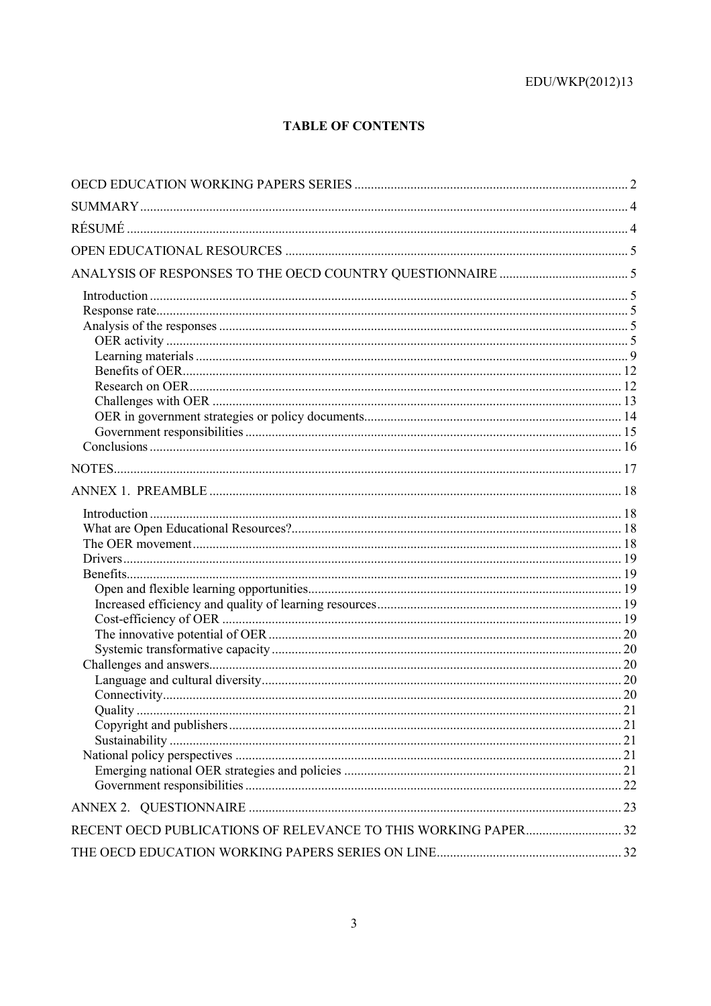# **TABLE OF CONTENTS**

| Ouality | .21 |
|---------|-----|
|         |     |
|         |     |
|         |     |
|         |     |
|         |     |
|         |     |
|         |     |
|         |     |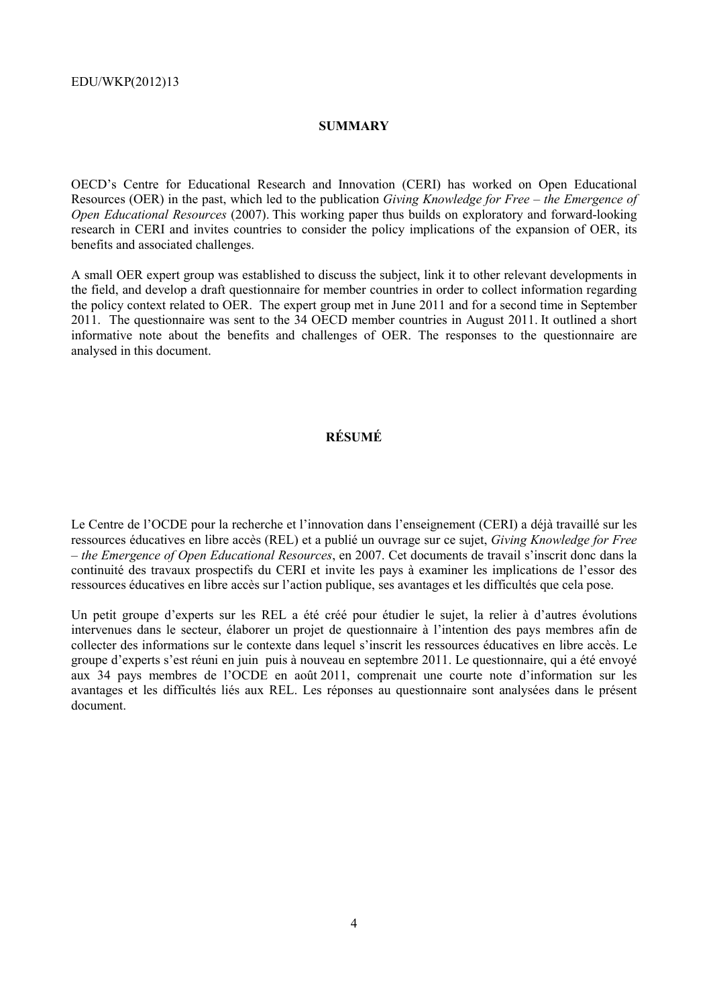# **SUMMARY**

OECD's Centre for Educational Research and Innovation (CERI) has worked on Open Educational Resources (OER) in the past, which led to the publication *Giving Knowledge for Free – the Emergence of Open Educational Resources* (2007). This working paper thus builds on exploratory and forward-looking research in CERI and invites countries to consider the policy implications of the expansion of OER, its benefits and associated challenges.

A small OER expert group was established to discuss the subject, link it to other relevant developments in the field, and develop a draft questionnaire for member countries in order to collect information regarding the policy context related to OER. The expert group met in June 2011 and for a second time in September 2011. The questionnaire was sent to the 34 OECD member countries in August 2011. It outlined a short informative note about the benefits and challenges of OER. The responses to the questionnaire are analysed in this document.

# **RÉSUMÉ**

Le Centre de l'OCDE pour la recherche et l'innovation dans l'enseignement (CERI) a déjà travaillé sur les ressources éducatives en libre accès (REL) et a publié un ouvrage sur ce sujet, *Giving Knowledge for Free – the Emergence of Open Educational Resources*, en 2007. Cet documents de travail s'inscrit donc dans la continuité des travaux prospectifs du CERI et invite les pays à examiner les implications de l'essor des ressources éducatives en libre accès sur l'action publique, ses avantages et les difficultés que cela pose.

Un petit groupe d'experts sur les REL a été créé pour étudier le sujet, la relier à d'autres évolutions intervenues dans le secteur, élaborer un projet de questionnaire à l'intention des pays membres afin de collecter des informations sur le contexte dans lequel s'inscrit les ressources éducatives en libre accès. Le groupe d'experts s'est réuni en juin puis à nouveau en septembre 2011. Le questionnaire, qui a été envoyé aux 34 pays membres de l'OCDE en août 2011, comprenait une courte note d'information sur les avantages et les difficultés liés aux REL. Les réponses au questionnaire sont analysées dans le présent document.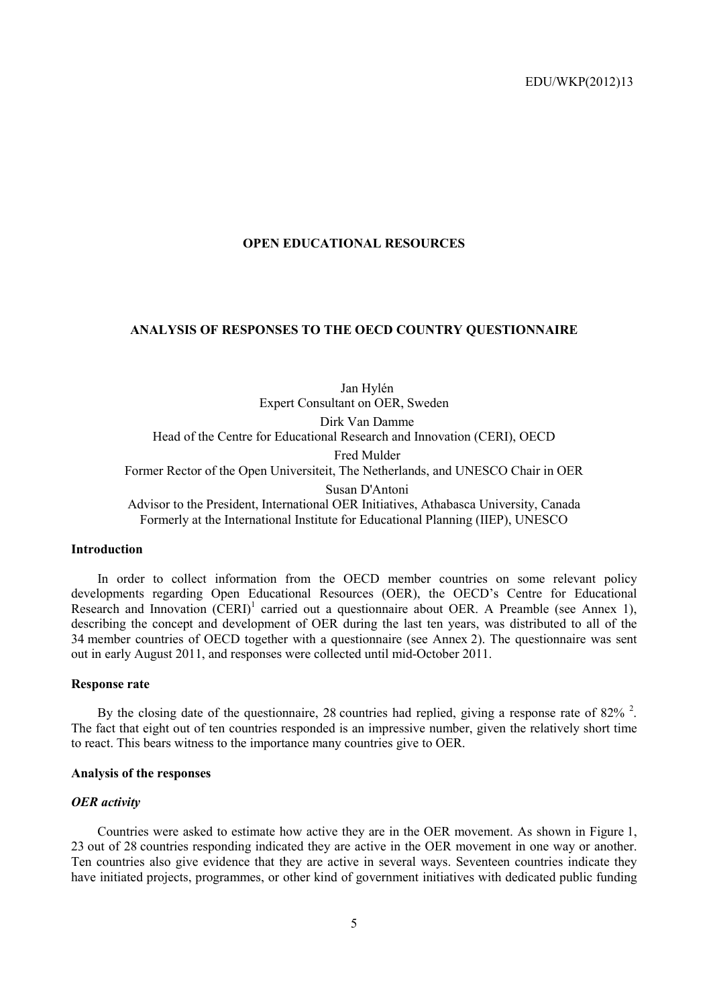# **OPEN EDUCATIONAL RESOURCES**

# **ANALYSIS OF RESPONSES TO THE OECD COUNTRY QUESTIONNAIRE**

Jan Hylén Expert Consultant on OER, Sweden Dirk Van Damme Head of the Centre for Educational Research and Innovation (CERI), OECD Fred Mulder Former Rector of the Open Universiteit, The Netherlands, and UNESCO Chair in OER Susan D'Antoni Advisor to the President, International OER Initiatives, Athabasca University, Canada Formerly at the International Institute for Educational Planning (IIEP), UNESCO

# **Introduction**

In order to collect information from the OECD member countries on some relevant policy developments regarding Open Educational Resources (OER), the OECD's Centre for Educational Research and Innovation  $(CERI)^1$  carried out a questionnaire about OER. A Preamble (see Annex 1), describing the concept and development of OER during the last ten years, was distributed to all of the 34 member countries of OECD together with a questionnaire (see Annex 2). The questionnaire was sent out in early August 2011, and responses were collected until mid-October 2011.

#### **Response rate**

By the closing date of the questionnaire, 28 countries had replied, giving a response rate of  $82\%$ <sup>2</sup>. The fact that eight out of ten countries responded is an impressive number, given the relatively short time to react. This bears witness to the importance many countries give to OER.

# **Analysis of the responses**

# *OER activity*

Countries were asked to estimate how active they are in the OER movement. As shown in Figure 1, 23 out of 28 countries responding indicated they are active in the OER movement in one way or another. Ten countries also give evidence that they are active in several ways. Seventeen countries indicate they have initiated projects, programmes, or other kind of government initiatives with dedicated public funding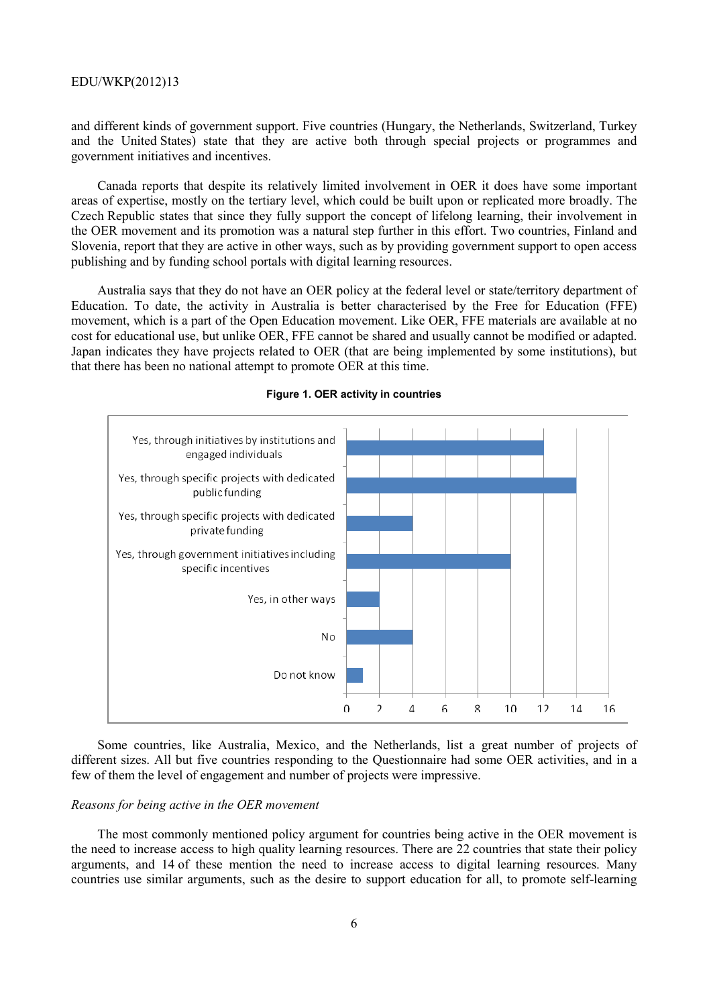and different kinds of government support. Five countries (Hungary, the Netherlands, Switzerland, Turkey and the United States) state that they are active both through special projects or programmes and government initiatives and incentives.

Canada reports that despite its relatively limited involvement in OER it does have some important areas of expertise, mostly on the tertiary level, which could be built upon or replicated more broadly. The Czech Republic states that since they fully support the concept of lifelong learning, their involvement in the OER movement and its promotion was a natural step further in this effort. Two countries, Finland and Slovenia, report that they are active in other ways, such as by providing government support to open access publishing and by funding school portals with digital learning resources.

Australia says that they do not have an OER policy at the federal level or state/territory department of Education. To date, the activity in Australia is better characterised by the Free for Education (FFE) movement, which is a part of the Open Education movement. Like OER, FFE materials are available at no cost for educational use, but unlike OER, FFE cannot be shared and usually cannot be modified or adapted. Japan indicates they have projects related to OER (that are being implemented by some institutions), but that there has been no national attempt to promote OER at this time.



#### **Figure 1. OER activity in countries**

Some countries, like Australia, Mexico, and the Netherlands, list a great number of projects of different sizes. All but five countries responding to the Questionnaire had some OER activities, and in a few of them the level of engagement and number of projects were impressive.

#### *Reasons for being active in the OER movement*

The most commonly mentioned policy argument for countries being active in the OER movement is the need to increase access to high quality learning resources. There are 22 countries that state their policy arguments, and 14 of these mention the need to increase access to digital learning resources. Many countries use similar arguments, such as the desire to support education for all, to promote self-learning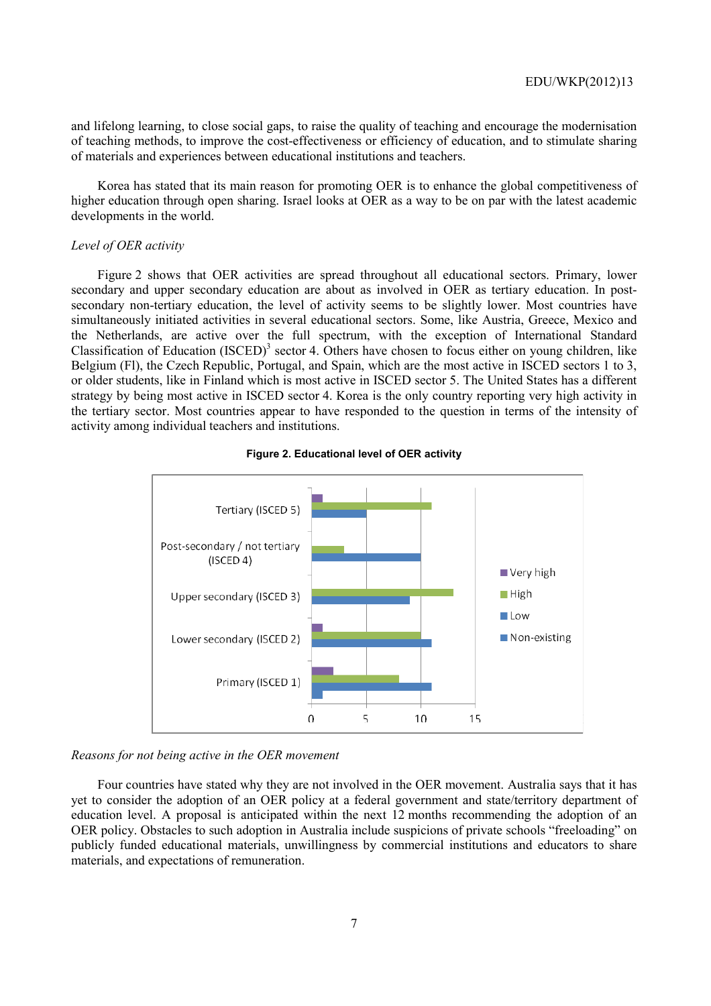and lifelong learning, to close social gaps, to raise the quality of teaching and encourage the modernisation of teaching methods, to improve the cost-effectiveness or efficiency of education, and to stimulate sharing of materials and experiences between educational institutions and teachers.

Korea has stated that its main reason for promoting OER is to enhance the global competitiveness of higher education through open sharing. Israel looks at OER as a way to be on par with the latest academic developments in the world.

# *Level of OER activity*

Figure 2 shows that OER activities are spread throughout all educational sectors. Primary, lower secondary and upper secondary education are about as involved in OER as tertiary education. In postsecondary non-tertiary education, the level of activity seems to be slightly lower. Most countries have simultaneously initiated activities in several educational sectors. Some, like Austria, Greece, Mexico and the Netherlands, are active over the full spectrum, with the exception of International Standard Classification of Education  $(ISCED)^3$  sector 4. Others have chosen to focus either on young children, like Belgium (Fl), the Czech Republic, Portugal, and Spain, which are the most active in ISCED sectors 1 to 3, or older students, like in Finland which is most active in ISCED sector 5. The United States has a different strategy by being most active in ISCED sector 4. Korea is the only country reporting very high activity in the tertiary sector. Most countries appear to have responded to the question in terms of the intensity of activity among individual teachers and institutions.





#### *Reasons for not being active in the OER movement*

Four countries have stated why they are not involved in the OER movement. Australia says that it has yet to consider the adoption of an OER policy at a federal government and state/territory department of education level. A proposal is anticipated within the next 12 months recommending the adoption of an OER policy. Obstacles to such adoption in Australia include suspicions of private schools "freeloading" on publicly funded educational materials, unwillingness by commercial institutions and educators to share materials, and expectations of remuneration.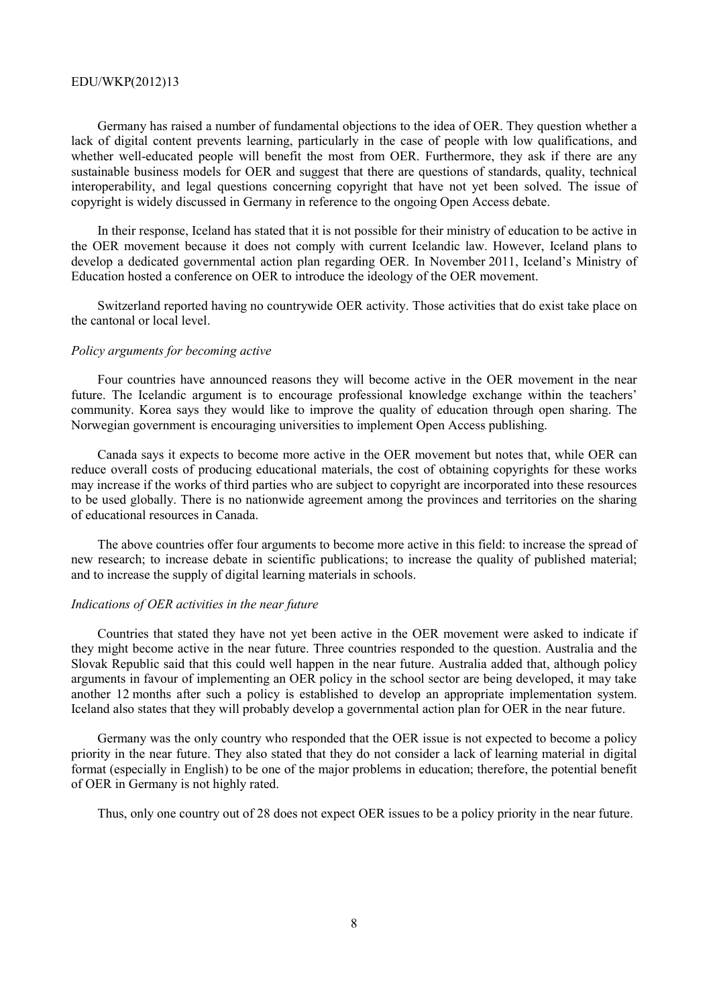Germany has raised a number of fundamental objections to the idea of OER. They question whether a lack of digital content prevents learning, particularly in the case of people with low qualifications, and whether well-educated people will benefit the most from OER. Furthermore, they ask if there are any sustainable business models for OER and suggest that there are questions of standards, quality, technical interoperability, and legal questions concerning copyright that have not yet been solved. The issue of copyright is widely discussed in Germany in reference to the ongoing Open Access debate.

In their response, Iceland has stated that it is not possible for their ministry of education to be active in the OER movement because it does not comply with current Icelandic law. However, Iceland plans to develop a dedicated governmental action plan regarding OER. In November 2011, Iceland's Ministry of Education hosted a conference on OER to introduce the ideology of the OER movement.

Switzerland reported having no countrywide OER activity. Those activities that do exist take place on the cantonal or local level.

#### *Policy arguments for becoming active*

Four countries have announced reasons they will become active in the OER movement in the near future. The Icelandic argument is to encourage professional knowledge exchange within the teachers' community. Korea says they would like to improve the quality of education through open sharing. The Norwegian government is encouraging universities to implement Open Access publishing.

Canada says it expects to become more active in the OER movement but notes that, while OER can reduce overall costs of producing educational materials, the cost of obtaining copyrights for these works may increase if the works of third parties who are subject to copyright are incorporated into these resources to be used globally. There is no nationwide agreement among the provinces and territories on the sharing of educational resources in Canada.

The above countries offer four arguments to become more active in this field: to increase the spread of new research; to increase debate in scientific publications; to increase the quality of published material; and to increase the supply of digital learning materials in schools.

#### *Indications of OER activities in the near future*

Countries that stated they have not yet been active in the OER movement were asked to indicate if they might become active in the near future. Three countries responded to the question. Australia and the Slovak Republic said that this could well happen in the near future. Australia added that, although policy arguments in favour of implementing an OER policy in the school sector are being developed, it may take another 12 months after such a policy is established to develop an appropriate implementation system. Iceland also states that they will probably develop a governmental action plan for OER in the near future.

Germany was the only country who responded that the OER issue is not expected to become a policy priority in the near future. They also stated that they do not consider a lack of learning material in digital format (especially in English) to be one of the major problems in education; therefore, the potential benefit of OER in Germany is not highly rated.

Thus, only one country out of 28 does not expect OER issues to be a policy priority in the near future.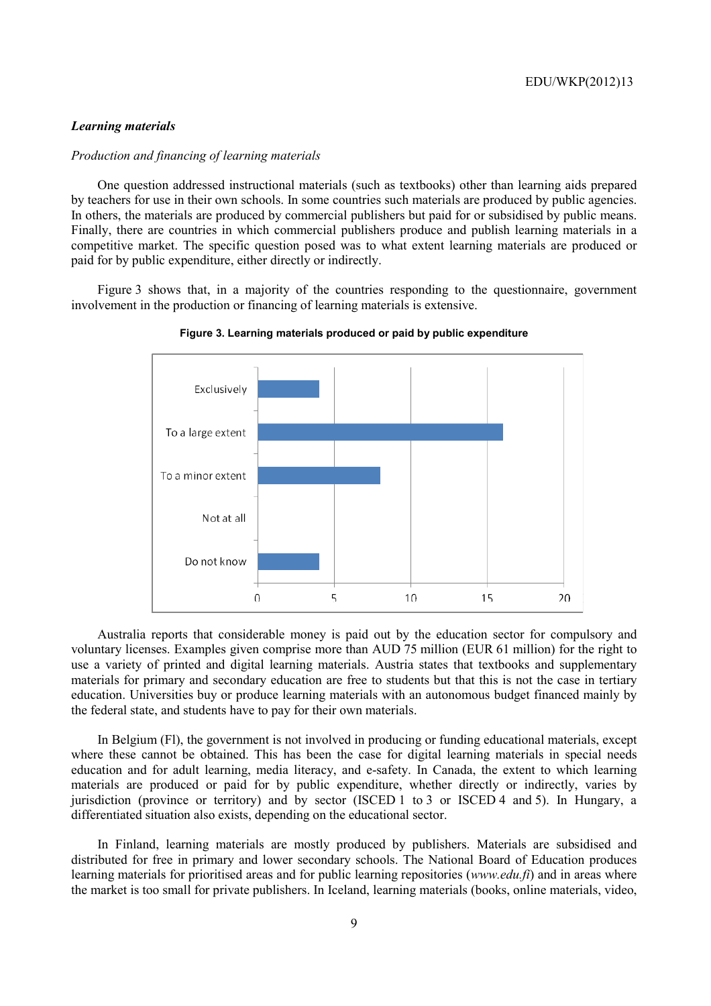#### *Learning materials*

# *Production and financing of learning materials*

One question addressed instructional materials (such as textbooks) other than learning aids prepared by teachers for use in their own schools. In some countries such materials are produced by public agencies. In others, the materials are produced by commercial publishers but paid for or subsidised by public means. Finally, there are countries in which commercial publishers produce and publish learning materials in a competitive market. The specific question posed was to what extent learning materials are produced or paid for by public expenditure, either directly or indirectly.

Figure 3 shows that, in a majority of the countries responding to the questionnaire, government involvement in the production or financing of learning materials is extensive.



**Figure 3. Learning materials produced or paid by public expenditure** 

Australia reports that considerable money is paid out by the education sector for compulsory and voluntary licenses. Examples given comprise more than AUD 75 million (EUR 61 million) for the right to use a variety of printed and digital learning materials. Austria states that textbooks and supplementary materials for primary and secondary education are free to students but that this is not the case in tertiary education. Universities buy or produce learning materials with an autonomous budget financed mainly by the federal state, and students have to pay for their own materials.

In Belgium (Fl), the government is not involved in producing or funding educational materials, except where these cannot be obtained. This has been the case for digital learning materials in special needs education and for adult learning, media literacy, and e-safety. In Canada, the extent to which learning materials are produced or paid for by public expenditure, whether directly or indirectly, varies by jurisdiction (province or territory) and by sector (ISCED 1 to 3 or ISCED 4 and 5). In Hungary, a differentiated situation also exists, depending on the educational sector.

In Finland, learning materials are mostly produced by publishers. Materials are subsidised and distributed for free in primary and lower secondary schools. The National Board of Education produces learning materials for prioritised areas and for public learning repositories (*www.edu.fi*) and in areas where the market is too small for private publishers. In Iceland, learning materials (books, online materials, video,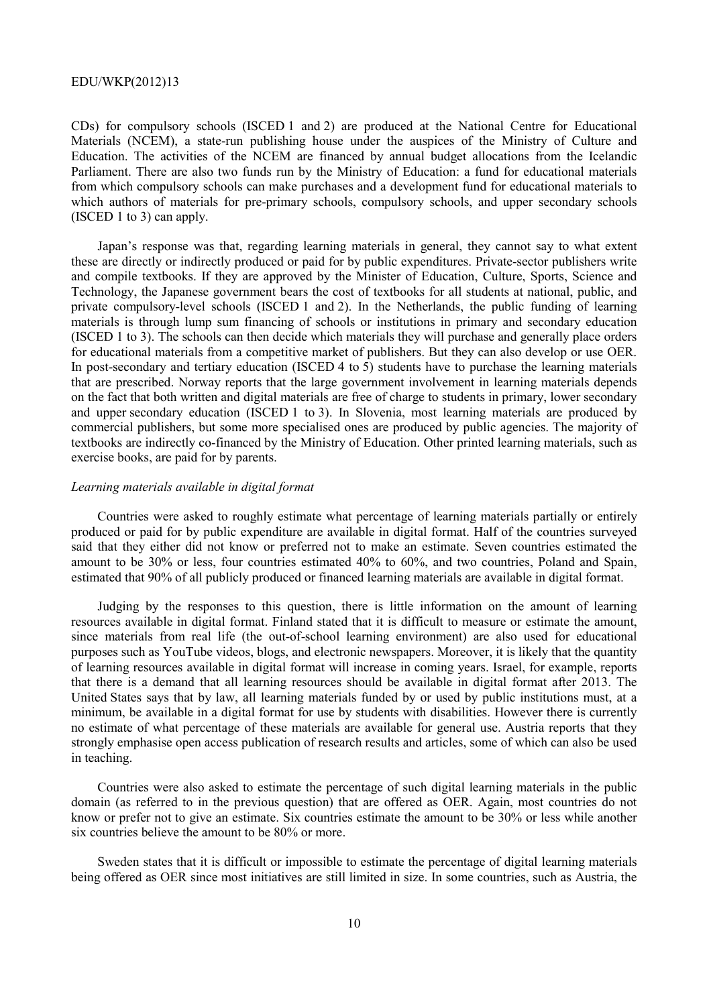CDs) for compulsory schools (ISCED 1 and 2) are produced at the National Centre for Educational Materials (NCEM), a state-run publishing house under the auspices of the Ministry of Culture and Education. The activities of the NCEM are financed by annual budget allocations from the Icelandic Parliament. There are also two funds run by the Ministry of Education: a fund for educational materials from which compulsory schools can make purchases and a development fund for educational materials to which authors of materials for pre-primary schools, compulsory schools, and upper secondary schools (ISCED 1 to 3) can apply.

Japan's response was that, regarding learning materials in general, they cannot say to what extent these are directly or indirectly produced or paid for by public expenditures. Private-sector publishers write and compile textbooks. If they are approved by the Minister of Education, Culture, Sports, Science and Technology, the Japanese government bears the cost of textbooks for all students at national, public, and private compulsory-level schools (ISCED 1 and 2). In the Netherlands, the public funding of learning materials is through lump sum financing of schools or institutions in primary and secondary education (ISCED 1 to 3). The schools can then decide which materials they will purchase and generally place orders for educational materials from a competitive market of publishers. But they can also develop or use OER. In post-secondary and tertiary education (ISCED 4 to 5) students have to purchase the learning materials that are prescribed. Norway reports that the large government involvement in learning materials depends on the fact that both written and digital materials are free of charge to students in primary, lower secondary and upper secondary education (ISCED 1 to 3). In Slovenia, most learning materials are produced by commercial publishers, but some more specialised ones are produced by public agencies. The majority of textbooks are indirectly co-financed by the Ministry of Education. Other printed learning materials, such as exercise books, are paid for by parents.

#### *Learning materials available in digital format*

Countries were asked to roughly estimate what percentage of learning materials partially or entirely produced or paid for by public expenditure are available in digital format. Half of the countries surveyed said that they either did not know or preferred not to make an estimate. Seven countries estimated the amount to be 30% or less, four countries estimated 40% to 60%, and two countries, Poland and Spain, estimated that 90% of all publicly produced or financed learning materials are available in digital format.

Judging by the responses to this question, there is little information on the amount of learning resources available in digital format. Finland stated that it is difficult to measure or estimate the amount, since materials from real life (the out-of-school learning environment) are also used for educational purposes such as YouTube videos, blogs, and electronic newspapers. Moreover, it is likely that the quantity of learning resources available in digital format will increase in coming years. Israel, for example, reports that there is a demand that all learning resources should be available in digital format after 2013. The United States says that by law, all learning materials funded by or used by public institutions must, at a minimum, be available in a digital format for use by students with disabilities. However there is currently no estimate of what percentage of these materials are available for general use. Austria reports that they strongly emphasise open access publication of research results and articles, some of which can also be used in teaching.

Countries were also asked to estimate the percentage of such digital learning materials in the public domain (as referred to in the previous question) that are offered as OER. Again, most countries do not know or prefer not to give an estimate. Six countries estimate the amount to be 30% or less while another six countries believe the amount to be 80% or more.

Sweden states that it is difficult or impossible to estimate the percentage of digital learning materials being offered as OER since most initiatives are still limited in size. In some countries, such as Austria, the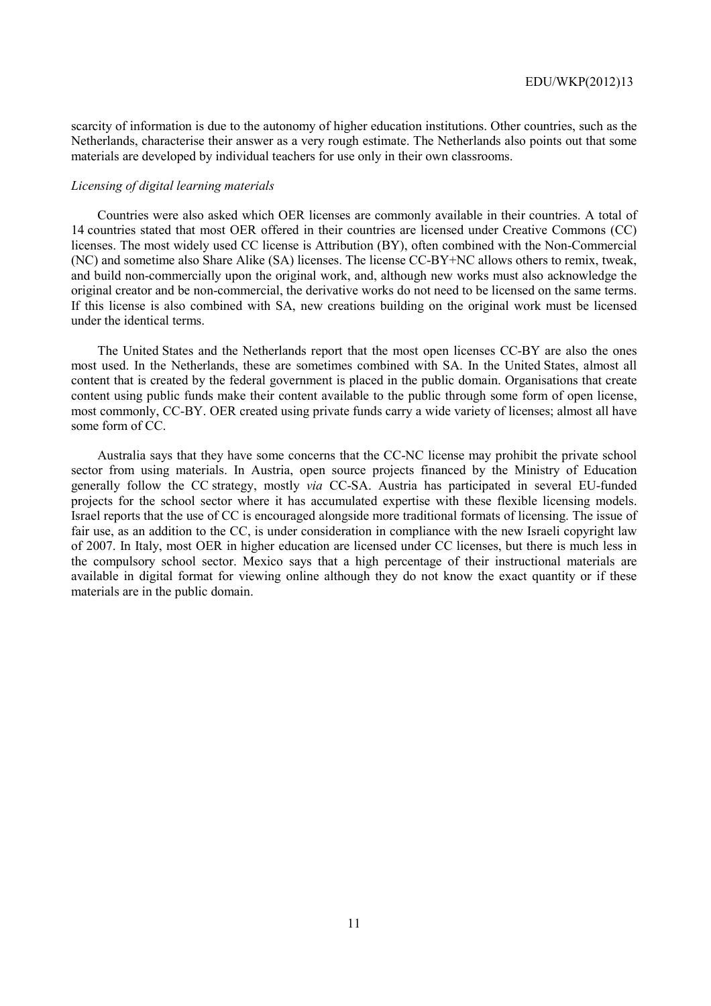scarcity of information is due to the autonomy of higher education institutions. Other countries, such as the Netherlands, characterise their answer as a very rough estimate. The Netherlands also points out that some materials are developed by individual teachers for use only in their own classrooms.

#### *Licensing of digital learning materials*

Countries were also asked which OER licenses are commonly available in their countries. A total of 14 countries stated that most OER offered in their countries are licensed under Creative Commons (CC) licenses. The most widely used CC license is Attribution (BY), often combined with the Non-Commercial (NC) and sometime also Share Alike (SA) licenses. The license CC-BY+NC allows others to remix, tweak, and build non-commercially upon the original work, and, although new works must also acknowledge the original creator and be non-commercial, the derivative works do not need to be licensed on the same terms. If this license is also combined with SA, new creations building on the original work must be licensed under the identical terms.

The United States and the Netherlands report that the most open licenses CC-BY are also the ones most used. In the Netherlands, these are sometimes combined with SA. In the United States, almost all content that is created by the federal government is placed in the public domain. Organisations that create content using public funds make their content available to the public through some form of open license, most commonly, CC-BY. OER created using private funds carry a wide variety of licenses; almost all have some form of CC.

Australia says that they have some concerns that the CC-NC license may prohibit the private school sector from using materials. In Austria, open source projects financed by the Ministry of Education generally follow the CC strategy, mostly *via* CC-SA. Austria has participated in several EU-funded projects for the school sector where it has accumulated expertise with these flexible licensing models. Israel reports that the use of CC is encouraged alongside more traditional formats of licensing. The issue of fair use, as an addition to the CC, is under consideration in compliance with the new Israeli copyright law of 2007. In Italy, most OER in higher education are licensed under CC licenses, but there is much less in the compulsory school sector. Mexico says that a high percentage of their instructional materials are available in digital format for viewing online although they do not know the exact quantity or if these materials are in the public domain.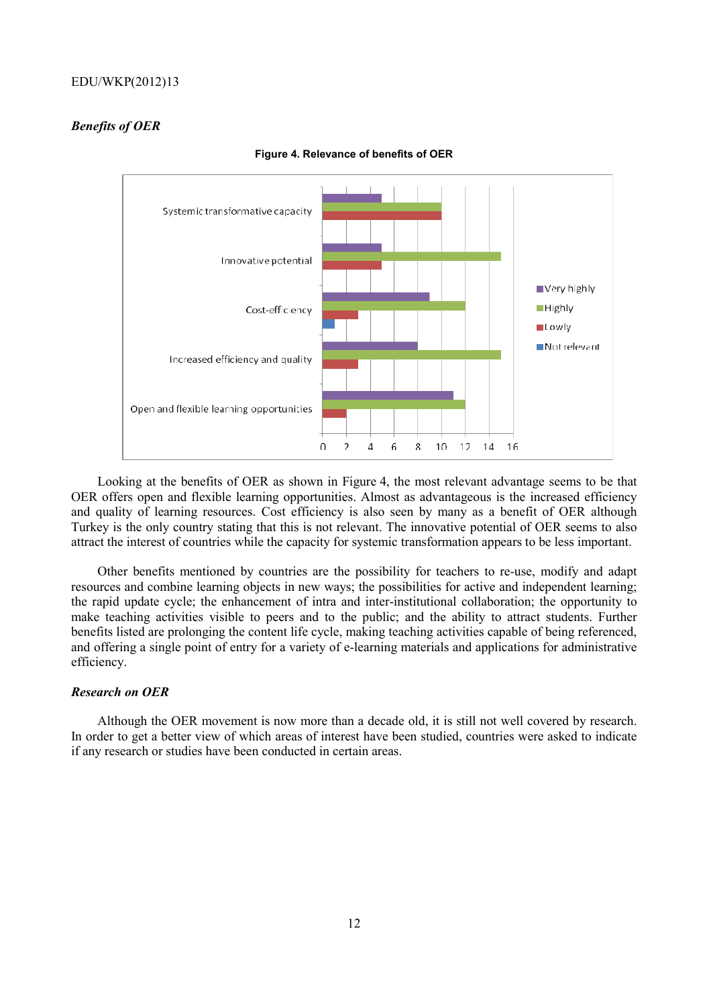# *Benefits of OER*



**Figure 4. Relevance of benefits of OER** 

Looking at the benefits of OER as shown in Figure 4, the most relevant advantage seems to be that OER offers open and flexible learning opportunities. Almost as advantageous is the increased efficiency and quality of learning resources. Cost efficiency is also seen by many as a benefit of OER although Turkey is the only country stating that this is not relevant. The innovative potential of OER seems to also attract the interest of countries while the capacity for systemic transformation appears to be less important.

Other benefits mentioned by countries are the possibility for teachers to re-use, modify and adapt resources and combine learning objects in new ways; the possibilities for active and independent learning; the rapid update cycle; the enhancement of intra and inter-institutional collaboration; the opportunity to make teaching activities visible to peers and to the public; and the ability to attract students. Further benefits listed are prolonging the content life cycle, making teaching activities capable of being referenced, and offering a single point of entry for a variety of e-learning materials and applications for administrative efficiency.

# *Research on OER*

Although the OER movement is now more than a decade old, it is still not well covered by research. In order to get a better view of which areas of interest have been studied, countries were asked to indicate if any research or studies have been conducted in certain areas.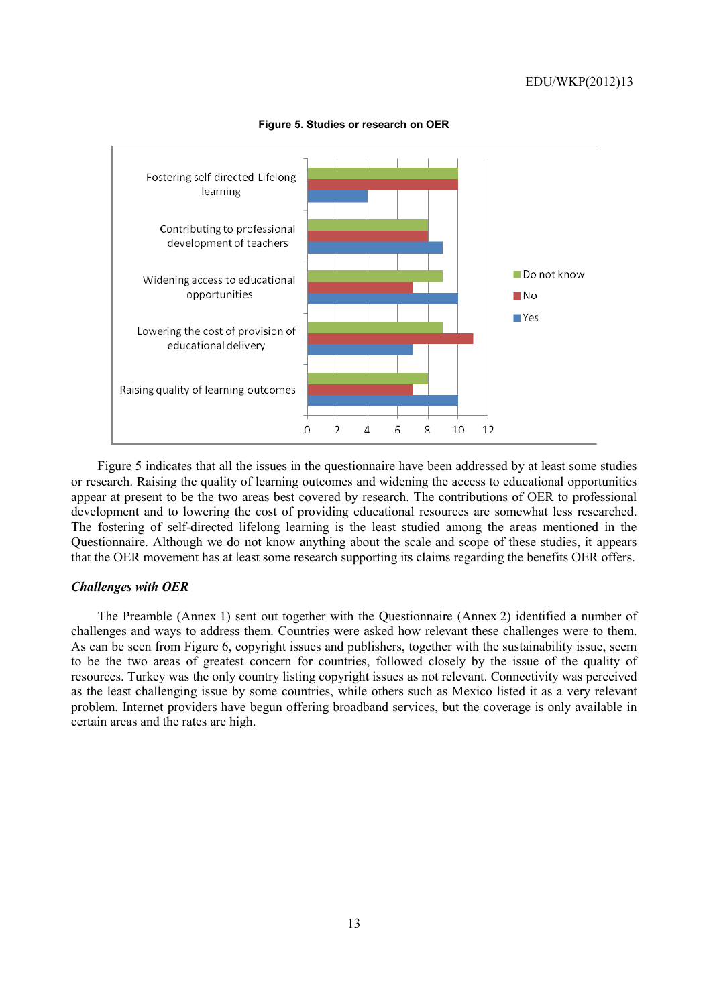

**Figure 5. Studies or research on OER** 

Figure 5 indicates that all the issues in the questionnaire have been addressed by at least some studies or research. Raising the quality of learning outcomes and widening the access to educational opportunities appear at present to be the two areas best covered by research. The contributions of OER to professional development and to lowering the cost of providing educational resources are somewhat less researched. The fostering of self-directed lifelong learning is the least studied among the areas mentioned in the Questionnaire. Although we do not know anything about the scale and scope of these studies, it appears that the OER movement has at least some research supporting its claims regarding the benefits OER offers.

#### *Challenges with OER*

The Preamble (Annex 1) sent out together with the Questionnaire (Annex 2) identified a number of challenges and ways to address them. Countries were asked how relevant these challenges were to them. As can be seen from Figure 6, copyright issues and publishers, together with the sustainability issue, seem to be the two areas of greatest concern for countries, followed closely by the issue of the quality of resources. Turkey was the only country listing copyright issues as not relevant. Connectivity was perceived as the least challenging issue by some countries, while others such as Mexico listed it as a very relevant problem. Internet providers have begun offering broadband services, but the coverage is only available in certain areas and the rates are high.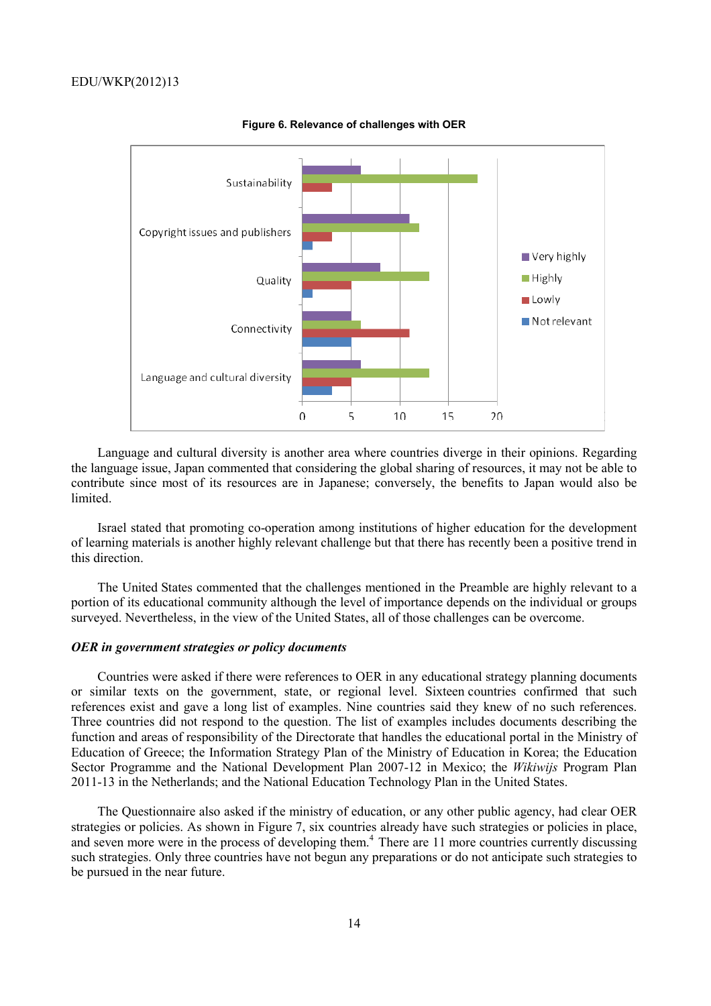

**Figure 6. Relevance of challenges with OER** 

Language and cultural diversity is another area where countries diverge in their opinions. Regarding the language issue, Japan commented that considering the global sharing of resources, it may not be able to contribute since most of its resources are in Japanese; conversely, the benefits to Japan would also be limited.

Israel stated that promoting co-operation among institutions of higher education for the development of learning materials is another highly relevant challenge but that there has recently been a positive trend in this direction.

The United States commented that the challenges mentioned in the Preamble are highly relevant to a portion of its educational community although the level of importance depends on the individual or groups surveyed. Nevertheless, in the view of the United States, all of those challenges can be overcome.

#### *OER in government strategies or policy documents*

Countries were asked if there were references to OER in any educational strategy planning documents or similar texts on the government, state, or regional level. Sixteen countries confirmed that such references exist and gave a long list of examples. Nine countries said they knew of no such references. Three countries did not respond to the question. The list of examples includes documents describing the function and areas of responsibility of the Directorate that handles the educational portal in the Ministry of Education of Greece; the Information Strategy Plan of the Ministry of Education in Korea; the Education Sector Programme and the National Development Plan 2007-12 in Mexico; the *Wikiwijs* Program Plan 2011-13 in the Netherlands; and the National Education Technology Plan in the United States.

The Questionnaire also asked if the ministry of education, or any other public agency, had clear OER strategies or policies. As shown in Figure 7, six countries already have such strategies or policies in place, and seven more were in the process of developing them.<sup>4</sup> There are 11 more countries currently discussing such strategies. Only three countries have not begun any preparations or do not anticipate such strategies to be pursued in the near future.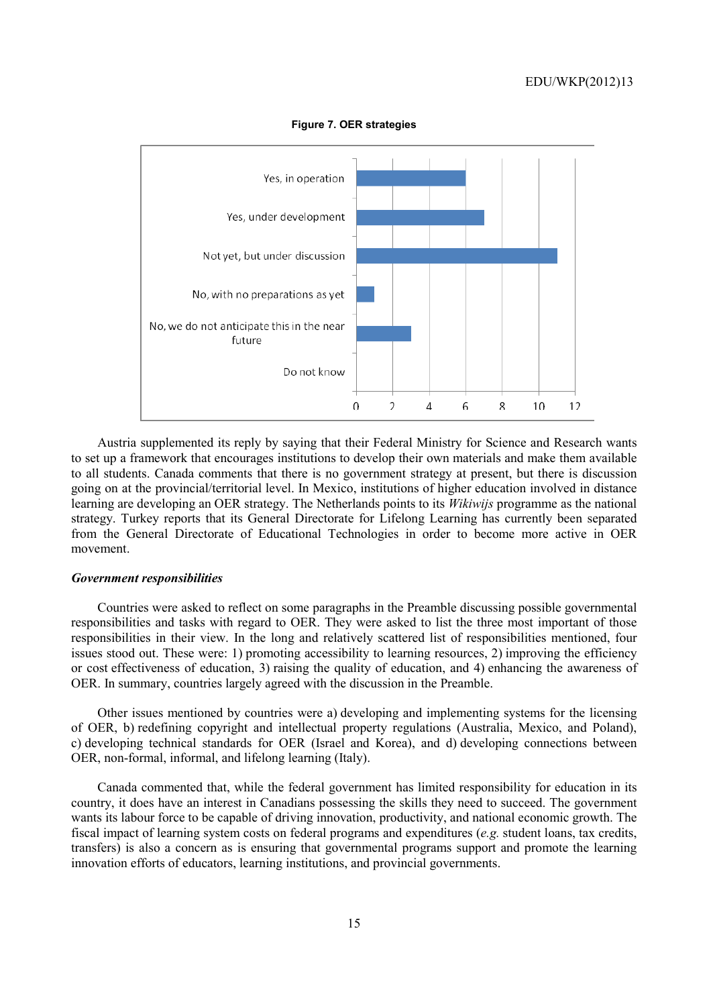

**Figure 7. OER strategies** 

Austria supplemented its reply by saying that their Federal Ministry for Science and Research wants to set up a framework that encourages institutions to develop their own materials and make them available to all students. Canada comments that there is no government strategy at present, but there is discussion going on at the provincial/territorial level. In Mexico, institutions of higher education involved in distance learning are developing an OER strategy. The Netherlands points to its *Wikiwijs* programme as the national strategy. Turkey reports that its General Directorate for Lifelong Learning has currently been separated from the General Directorate of Educational Technologies in order to become more active in OER movement.

#### *Government responsibilities*

Countries were asked to reflect on some paragraphs in the Preamble discussing possible governmental responsibilities and tasks with regard to OER. They were asked to list the three most important of those responsibilities in their view. In the long and relatively scattered list of responsibilities mentioned, four issues stood out. These were: 1) promoting accessibility to learning resources, 2) improving the efficiency or cost effectiveness of education, 3) raising the quality of education, and 4) enhancing the awareness of OER. In summary, countries largely agreed with the discussion in the Preamble.

Other issues mentioned by countries were a) developing and implementing systems for the licensing of OER, b) redefining copyright and intellectual property regulations (Australia, Mexico, and Poland), c) developing technical standards for OER (Israel and Korea), and d) developing connections between OER, non-formal, informal, and lifelong learning (Italy).

Canada commented that, while the federal government has limited responsibility for education in its country, it does have an interest in Canadians possessing the skills they need to succeed. The government wants its labour force to be capable of driving innovation, productivity, and national economic growth. The fiscal impact of learning system costs on federal programs and expenditures (*e.g.* student loans, tax credits, transfers) is also a concern as is ensuring that governmental programs support and promote the learning innovation efforts of educators, learning institutions, and provincial governments.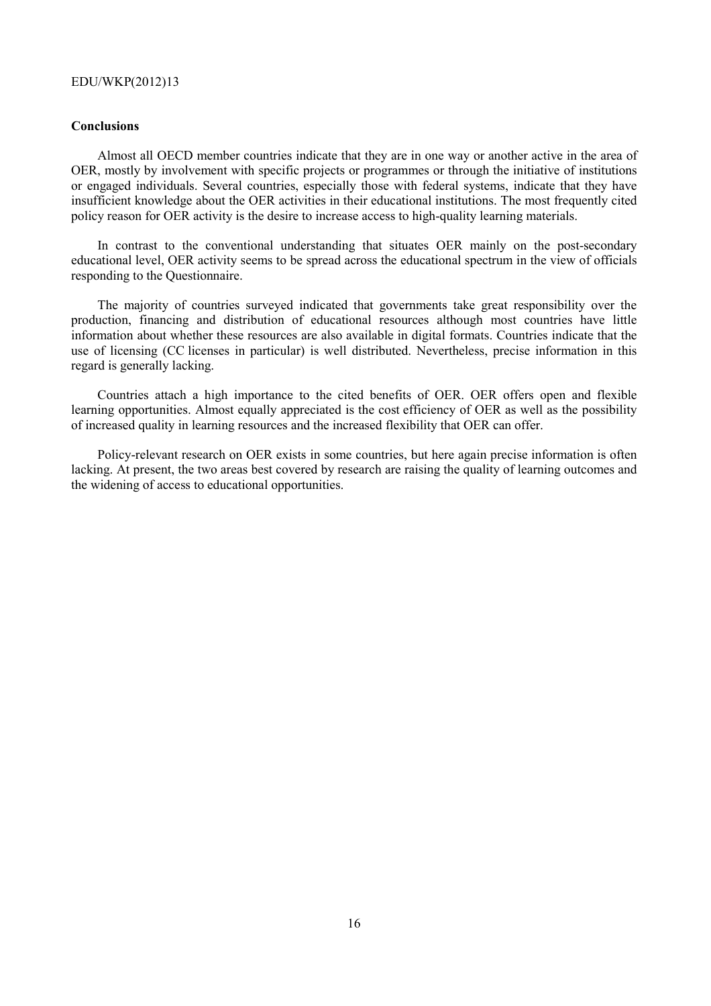# **Conclusions**

Almost all OECD member countries indicate that they are in one way or another active in the area of OER, mostly by involvement with specific projects or programmes or through the initiative of institutions or engaged individuals. Several countries, especially those with federal systems, indicate that they have insufficient knowledge about the OER activities in their educational institutions. The most frequently cited policy reason for OER activity is the desire to increase access to high-quality learning materials.

In contrast to the conventional understanding that situates OER mainly on the post-secondary educational level, OER activity seems to be spread across the educational spectrum in the view of officials responding to the Questionnaire.

The majority of countries surveyed indicated that governments take great responsibility over the production, financing and distribution of educational resources although most countries have little information about whether these resources are also available in digital formats. Countries indicate that the use of licensing (CC licenses in particular) is well distributed. Nevertheless, precise information in this regard is generally lacking.

Countries attach a high importance to the cited benefits of OER. OER offers open and flexible learning opportunities. Almost equally appreciated is the cost efficiency of OER as well as the possibility of increased quality in learning resources and the increased flexibility that OER can offer.

Policy-relevant research on OER exists in some countries, but here again precise information is often lacking. At present, the two areas best covered by research are raising the quality of learning outcomes and the widening of access to educational opportunities.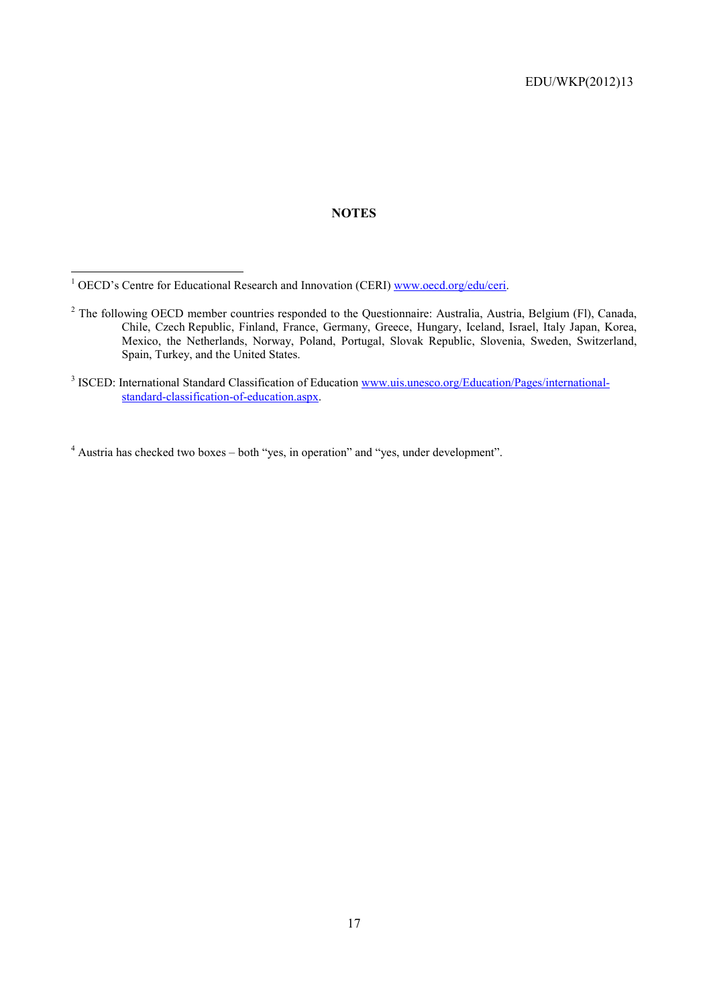# **NOTES**

- <sup>2</sup> The following OECD member countries responded to the Questionnaire: Australia, Austria, Belgium (Fl), Canada, Chile, Czech Republic, Finland, France, Germany, Greece, Hungary, Iceland, Israel, Italy Japan, Korea, Mexico, the Netherlands, Norway, Poland, Portugal, Slovak Republic, Slovenia, Sweden, Switzerland, Spain, Turkey, and the United States.
- <sup>3</sup> ISCED: International Standard Classification of Education www.uis.unesco.org/Education/Pages/internationalstandard-classification-of-education.aspx.

<sup>4</sup> Austria has checked two boxes – both "yes, in operation" and "yes, under development".

<sup>&</sup>lt;sup>1</sup> OECD's Centre for Educational Research and Innovation (CERI) www.oecd.org/edu/ceri.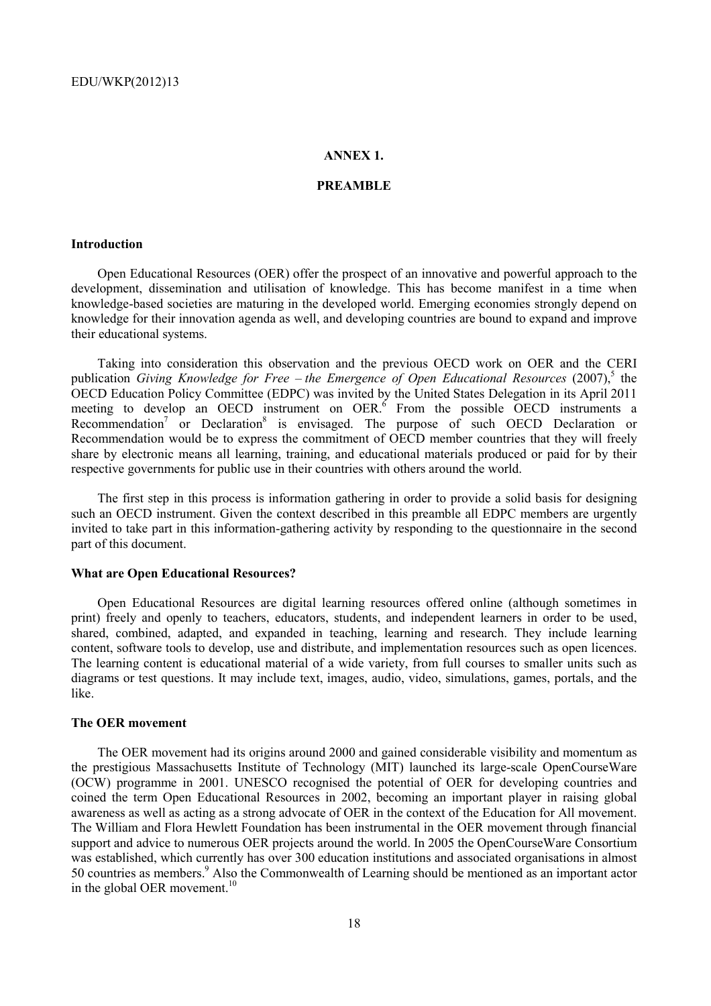# **ANNEX 1.**

## **PREAMBLE**

#### **Introduction**

Open Educational Resources (OER) offer the prospect of an innovative and powerful approach to the development, dissemination and utilisation of knowledge. This has become manifest in a time when knowledge-based societies are maturing in the developed world. Emerging economies strongly depend on knowledge for their innovation agenda as well, and developing countries are bound to expand and improve their educational systems.

Taking into consideration this observation and the previous OECD work on OER and the CERI publication *Giving Knowledge for Free – the Emergence of Open Educational Resources* (2007),<sup>5</sup> the OECD Education Policy Committee (EDPC) was invited by the United States Delegation in its April 2011 meeting to develop an OECD instrument on OER. $<sup>6</sup>$  From the possible OECD instruments a</sup> Recommendation<sup>7</sup> or Declaration<sup>8</sup> is envisaged. The purpose of such OECD Declaration or Recommendation would be to express the commitment of OECD member countries that they will freely share by electronic means all learning, training, and educational materials produced or paid for by their respective governments for public use in their countries with others around the world.

The first step in this process is information gathering in order to provide a solid basis for designing such an OECD instrument. Given the context described in this preamble all EDPC members are urgently invited to take part in this information-gathering activity by responding to the questionnaire in the second part of this document.

#### **What are Open Educational Resources?**

Open Educational Resources are digital learning resources offered online (although sometimes in print) freely and openly to teachers, educators, students, and independent learners in order to be used, shared, combined, adapted, and expanded in teaching, learning and research. They include learning content, software tools to develop, use and distribute, and implementation resources such as open licences. The learning content is educational material of a wide variety, from full courses to smaller units such as diagrams or test questions. It may include text, images, audio, video, simulations, games, portals, and the like.

#### **The OER movement**

The OER movement had its origins around 2000 and gained considerable visibility and momentum as the prestigious Massachusetts Institute of Technology (MIT) launched its large-scale OpenCourseWare (OCW) programme in 2001. UNESCO recognised the potential of OER for developing countries and coined the term Open Educational Resources in 2002, becoming an important player in raising global awareness as well as acting as a strong advocate of OER in the context of the Education for All movement. The William and Flora Hewlett Foundation has been instrumental in the OER movement through financial support and advice to numerous OER projects around the world. In 2005 the OpenCourseWare Consortium was established, which currently has over 300 education institutions and associated organisations in almost 50 countries as members.<sup>9</sup> Also the Commonwealth of Learning should be mentioned as an important actor in the global OER movement. $10$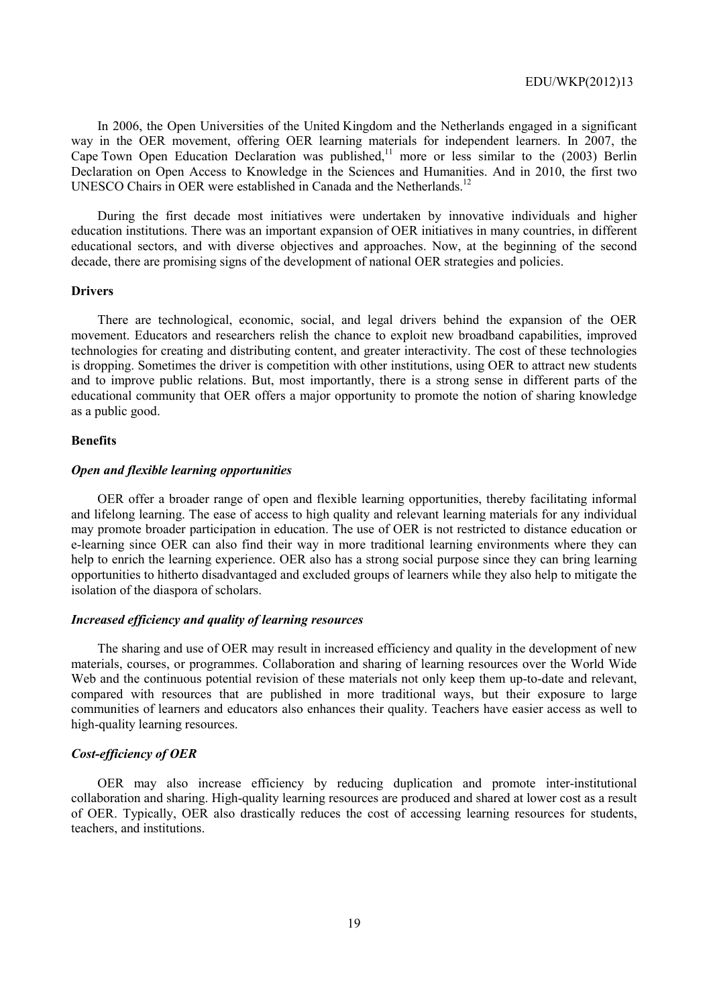In 2006, the Open Universities of the United Kingdom and the Netherlands engaged in a significant way in the OER movement, offering OER learning materials for independent learners. In 2007, the Cape Town Open Education Declaration was published,<sup>11</sup> more or less similar to the  $(2003)$  Berlin Declaration on Open Access to Knowledge in the Sciences and Humanities. And in 2010, the first two UNESCO Chairs in OER were established in Canada and the Netherlands.<sup>12</sup>

During the first decade most initiatives were undertaken by innovative individuals and higher education institutions. There was an important expansion of OER initiatives in many countries, in different educational sectors, and with diverse objectives and approaches. Now, at the beginning of the second decade, there are promising signs of the development of national OER strategies and policies.

#### **Drivers**

There are technological, economic, social, and legal drivers behind the expansion of the OER movement. Educators and researchers relish the chance to exploit new broadband capabilities, improved technologies for creating and distributing content, and greater interactivity. The cost of these technologies is dropping. Sometimes the driver is competition with other institutions, using OER to attract new students and to improve public relations. But, most importantly, there is a strong sense in different parts of the educational community that OER offers a major opportunity to promote the notion of sharing knowledge as a public good.

# **Benefits**

#### *Open and flexible learning opportunities*

OER offer a broader range of open and flexible learning opportunities, thereby facilitating informal and lifelong learning. The ease of access to high quality and relevant learning materials for any individual may promote broader participation in education. The use of OER is not restricted to distance education or e-learning since OER can also find their way in more traditional learning environments where they can help to enrich the learning experience. OER also has a strong social purpose since they can bring learning opportunities to hitherto disadvantaged and excluded groups of learners while they also help to mitigate the isolation of the diaspora of scholars.

#### *Increased efficiency and quality of learning resources*

The sharing and use of OER may result in increased efficiency and quality in the development of new materials, courses, or programmes. Collaboration and sharing of learning resources over the World Wide Web and the continuous potential revision of these materials not only keep them up-to-date and relevant, compared with resources that are published in more traditional ways, but their exposure to large communities of learners and educators also enhances their quality. Teachers have easier access as well to high-quality learning resources.

#### *Cost-efficiency of OER*

OER may also increase efficiency by reducing duplication and promote inter-institutional collaboration and sharing. High-quality learning resources are produced and shared at lower cost as a result of OER. Typically, OER also drastically reduces the cost of accessing learning resources for students, teachers, and institutions.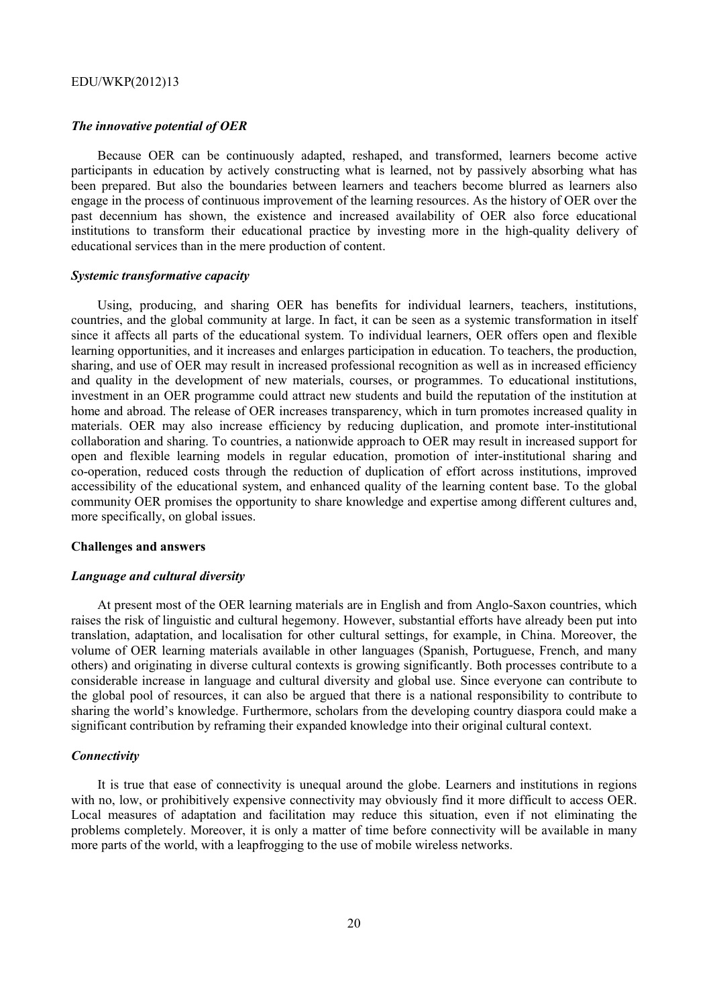#### *The innovative potential of OER*

Because OER can be continuously adapted, reshaped, and transformed, learners become active participants in education by actively constructing what is learned, not by passively absorbing what has been prepared. But also the boundaries between learners and teachers become blurred as learners also engage in the process of continuous improvement of the learning resources. As the history of OER over the past decennium has shown, the existence and increased availability of OER also force educational institutions to transform their educational practice by investing more in the high-quality delivery of educational services than in the mere production of content.

#### *Systemic transformative capacity*

Using, producing, and sharing OER has benefits for individual learners, teachers, institutions, countries, and the global community at large. In fact, it can be seen as a systemic transformation in itself since it affects all parts of the educational system. To individual learners, OER offers open and flexible learning opportunities, and it increases and enlarges participation in education. To teachers, the production, sharing, and use of OER may result in increased professional recognition as well as in increased efficiency and quality in the development of new materials, courses, or programmes. To educational institutions, investment in an OER programme could attract new students and build the reputation of the institution at home and abroad. The release of OER increases transparency, which in turn promotes increased quality in materials. OER may also increase efficiency by reducing duplication, and promote inter-institutional collaboration and sharing. To countries, a nationwide approach to OER may result in increased support for open and flexible learning models in regular education, promotion of inter-institutional sharing and co-operation, reduced costs through the reduction of duplication of effort across institutions, improved accessibility of the educational system, and enhanced quality of the learning content base. To the global community OER promises the opportunity to share knowledge and expertise among different cultures and, more specifically, on global issues.

### **Challenges and answers**

#### *Language and cultural diversity*

At present most of the OER learning materials are in English and from Anglo-Saxon countries, which raises the risk of linguistic and cultural hegemony. However, substantial efforts have already been put into translation, adaptation, and localisation for other cultural settings, for example, in China. Moreover, the volume of OER learning materials available in other languages (Spanish, Portuguese, French, and many others) and originating in diverse cultural contexts is growing significantly. Both processes contribute to a considerable increase in language and cultural diversity and global use. Since everyone can contribute to the global pool of resources, it can also be argued that there is a national responsibility to contribute to sharing the world's knowledge. Furthermore, scholars from the developing country diaspora could make a significant contribution by reframing their expanded knowledge into their original cultural context.

# *Connectivity*

It is true that ease of connectivity is unequal around the globe. Learners and institutions in regions with no, low, or prohibitively expensive connectivity may obviously find it more difficult to access OER. Local measures of adaptation and facilitation may reduce this situation, even if not eliminating the problems completely. Moreover, it is only a matter of time before connectivity will be available in many more parts of the world, with a leapfrogging to the use of mobile wireless networks.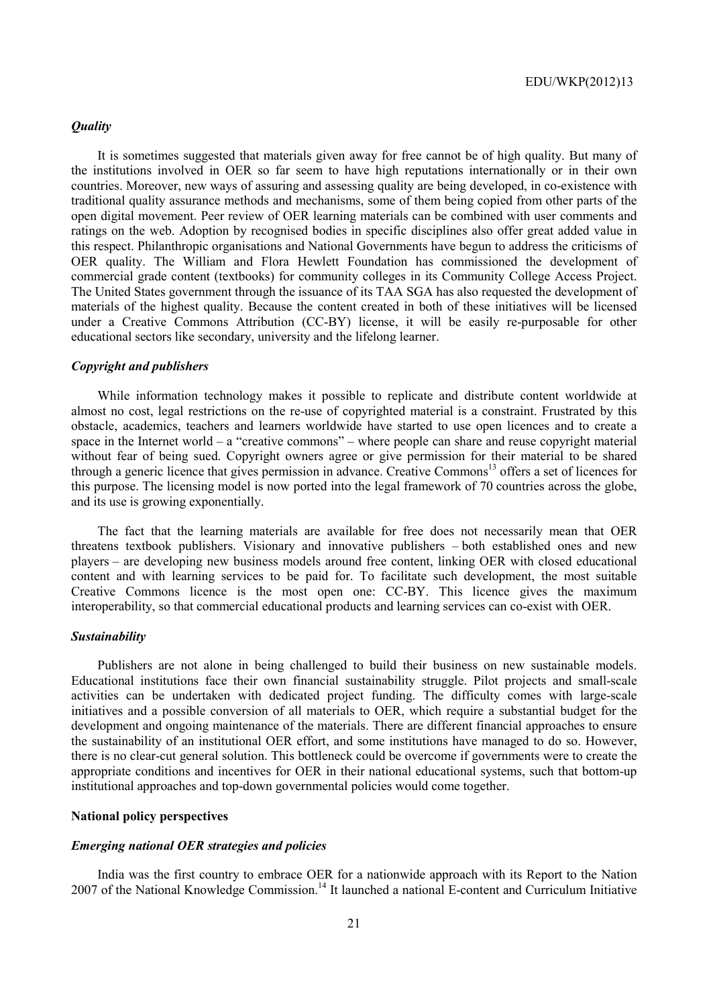#### *Quality*

It is sometimes suggested that materials given away for free cannot be of high quality. But many of the institutions involved in OER so far seem to have high reputations internationally or in their own countries. Moreover, new ways of assuring and assessing quality are being developed, in co-existence with traditional quality assurance methods and mechanisms, some of them being copied from other parts of the open digital movement. Peer review of OER learning materials can be combined with user comments and ratings on the web. Adoption by recognised bodies in specific disciplines also offer great added value in this respect. Philanthropic organisations and National Governments have begun to address the criticisms of OER quality. The William and Flora Hewlett Foundation has commissioned the development of commercial grade content (textbooks) for community colleges in its Community College Access Project. The United States government through the issuance of its TAA SGA has also requested the development of materials of the highest quality. Because the content created in both of these initiatives will be licensed under a Creative Commons Attribution (CC-BY) license, it will be easily re-purposable for other educational sectors like secondary, university and the lifelong learner.

#### *Copyright and publishers*

While information technology makes it possible to replicate and distribute content worldwide at almost no cost, legal restrictions on the re-use of copyrighted material is a constraint. Frustrated by this obstacle, academics, teachers and learners worldwide have started to use open licences and to create a space in the Internet world – a "creative commons" – where people can share and reuse copyright material without fear of being sued. Copyright owners agree or give permission for their material to be shared through a generic licence that gives permission in advance. Creative Commons<sup>13</sup> offers a set of licences for this purpose. The licensing model is now ported into the legal framework of 70 countries across the globe, and its use is growing exponentially.

The fact that the learning materials are available for free does not necessarily mean that OER threatens textbook publishers. Visionary and innovative publishers – both established ones and new players – are developing new business models around free content, linking OER with closed educational content and with learning services to be paid for. To facilitate such development, the most suitable Creative Commons licence is the most open one: CC-BY. This licence gives the maximum interoperability, so that commercial educational products and learning services can co-exist with OER.

#### *Sustainability*

Publishers are not alone in being challenged to build their business on new sustainable models. Educational institutions face their own financial sustainability struggle. Pilot projects and small-scale activities can be undertaken with dedicated project funding. The difficulty comes with large-scale initiatives and a possible conversion of all materials to OER, which require a substantial budget for the development and ongoing maintenance of the materials. There are different financial approaches to ensure the sustainability of an institutional OER effort, and some institutions have managed to do so. However, there is no clear-cut general solution. This bottleneck could be overcome if governments were to create the appropriate conditions and incentives for OER in their national educational systems, such that bottom-up institutional approaches and top-down governmental policies would come together.

# **National policy perspectives**

# *Emerging national OER strategies and policies*

India was the first country to embrace OER for a nationwide approach with its Report to the Nation 2007 of the National Knowledge Commission.<sup>14</sup> It launched a national E-content and Curriculum Initiative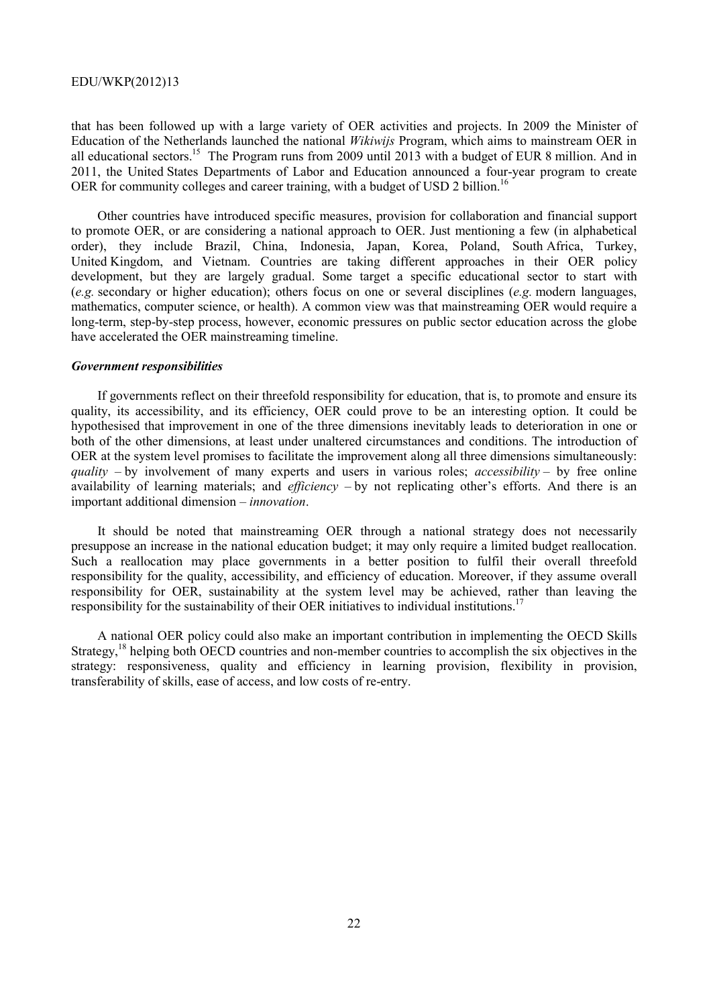that has been followed up with a large variety of OER activities and projects. In 2009 the Minister of Education of the Netherlands launched the national *Wikiwijs* Program, which aims to mainstream OER in all educational sectors.<sup>15</sup> The Program runs from 2009 until 2013 with a budget of EUR 8 million. And in 2011, the United States Departments of Labor and Education announced a four-year program to create OER for community colleges and career training, with a budget of USD 2 billion.<sup>16</sup>

Other countries have introduced specific measures, provision for collaboration and financial support to promote OER, or are considering a national approach to OER. Just mentioning a few (in alphabetical order), they include Brazil, China, Indonesia, Japan, Korea, Poland, South Africa, Turkey, United Kingdom, and Vietnam. Countries are taking different approaches in their OER policy development, but they are largely gradual. Some target a specific educational sector to start with (*e.g.* secondary or higher education); others focus on one or several disciplines (*e.g.* modern languages, mathematics, computer science, or health). A common view was that mainstreaming OER would require a long-term, step-by-step process, however, economic pressures on public sector education across the globe have accelerated the OER mainstreaming timeline.

#### *Government responsibilities*

If governments reflect on their threefold responsibility for education, that is, to promote and ensure its quality, its accessibility, and its efficiency, OER could prove to be an interesting option. It could be hypothesised that improvement in one of the three dimensions inevitably leads to deterioration in one or both of the other dimensions, at least under unaltered circumstances and conditions. The introduction of OER at the system level promises to facilitate the improvement along all three dimensions simultaneously: *quality* – by involvement of many experts and users in various roles; *accessibility* – by free online availability of learning materials; and *efficiency* – by not replicating other's efforts. And there is an important additional dimension – *innovation*.

It should be noted that mainstreaming OER through a national strategy does not necessarily presuppose an increase in the national education budget; it may only require a limited budget reallocation. Such a reallocation may place governments in a better position to fulfil their overall threefold responsibility for the quality, accessibility, and efficiency of education. Moreover, if they assume overall responsibility for OER, sustainability at the system level may be achieved, rather than leaving the responsibility for the sustainability of their OER initiatives to individual institutions.<sup>17</sup>

A national OER policy could also make an important contribution in implementing the OECD Skills Strategy,<sup>18</sup> helping both OECD countries and non-member countries to accomplish the six objectives in the strategy: responsiveness, quality and efficiency in learning provision, flexibility in provision, transferability of skills, ease of access, and low costs of re-entry.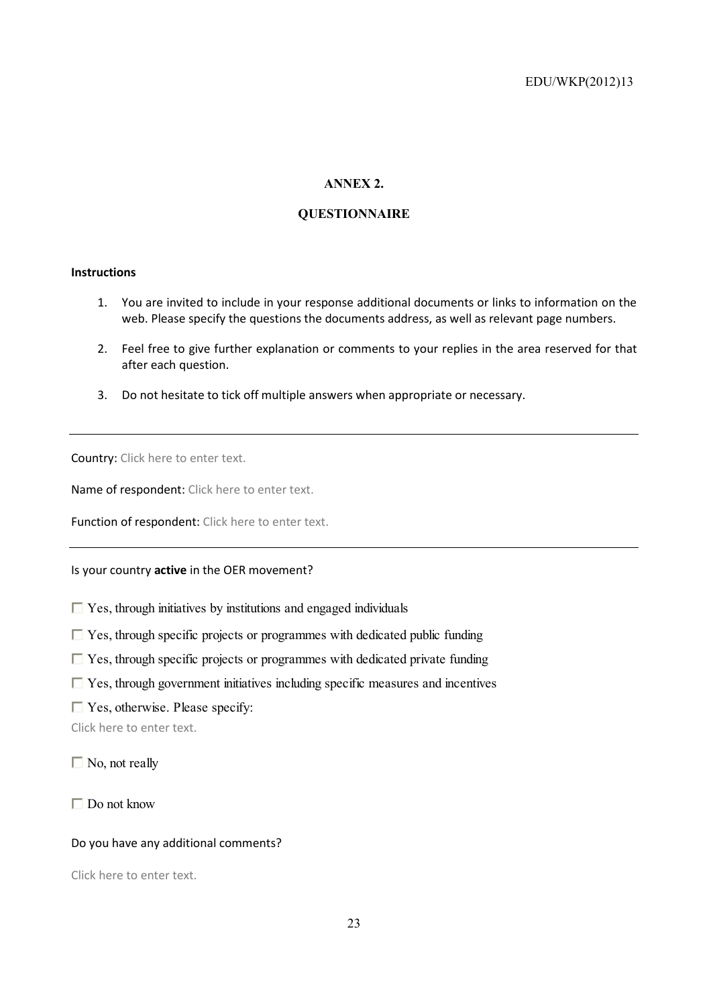# **ANNEX 2.**

# **QUESTIONNAIRE**

# **Instructions**

- 1. You are invited to include in your response additional documents or links to information on the web. Please specify the questions the documents address, as well as relevant page numbers.
- 2. Feel free to give further explanation or comments to your replies in the area reserved for that after each question.
- 3. Do not hesitate to tick off multiple answers when appropriate or necessary.

Country: Click here to enter text.

Name of respondent: Click here to enter text.

Function of respondent: Click here to enter text.

Is your country **active** in the OER movement?

 $\Box$  Yes, through initiatives by institutions and engaged individuals

- $\Box$  Yes, through specific projects or programmes with dedicated public funding
- $\Box$  Yes, through specific projects or programmes with dedicated private funding
- $\Box$  Yes, through government initiatives including specific measures and incentives
- $\Box$  Yes, otherwise. Please specify:

Click here to enter text.

 $\Box$  No, not really

 $\Box$  Do not know

# Do you have any additional comments?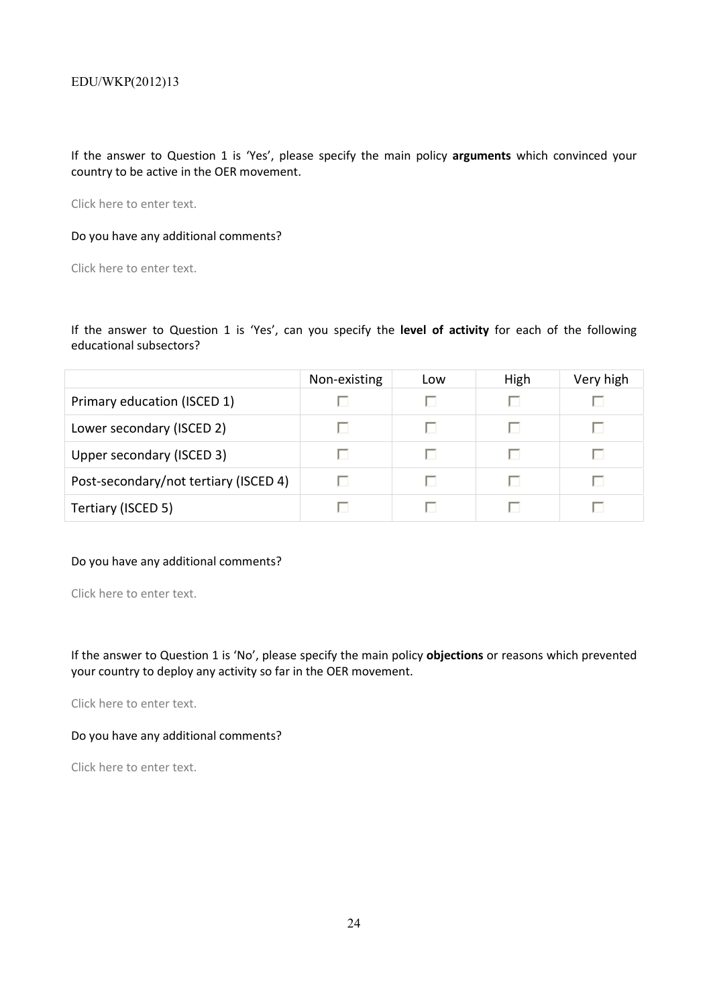If the answer to Question 1 is 'Yes', please specify the main policy **arguments** which convinced your country to be active in the OER movement.

Click here to enter text.

# Do you have any additional comments?

Click here to enter text.

If the answer to Question 1 is 'Yes', can you specify the **level of activity** for each of the following educational subsectors?

|                                       | Non-existing | Low | High | Very high |
|---------------------------------------|--------------|-----|------|-----------|
| Primary education (ISCED 1)           |              |     | ш    |           |
| Lower secondary (ISCED 2)             |              |     | п    |           |
| Upper secondary (ISCED 3)             |              | U   | п    |           |
| Post-secondary/not tertiary (ISCED 4) |              |     | п    |           |
| Tertiary (ISCED 5)                    |              |     |      |           |

# Do you have any additional comments?

Click here to enter text.

If the answer to Question 1 is 'No', please specify the main policy **objections** or reasons which prevented your country to deploy any activity so far in the OER movement.

Click here to enter text.

# Do you have any additional comments?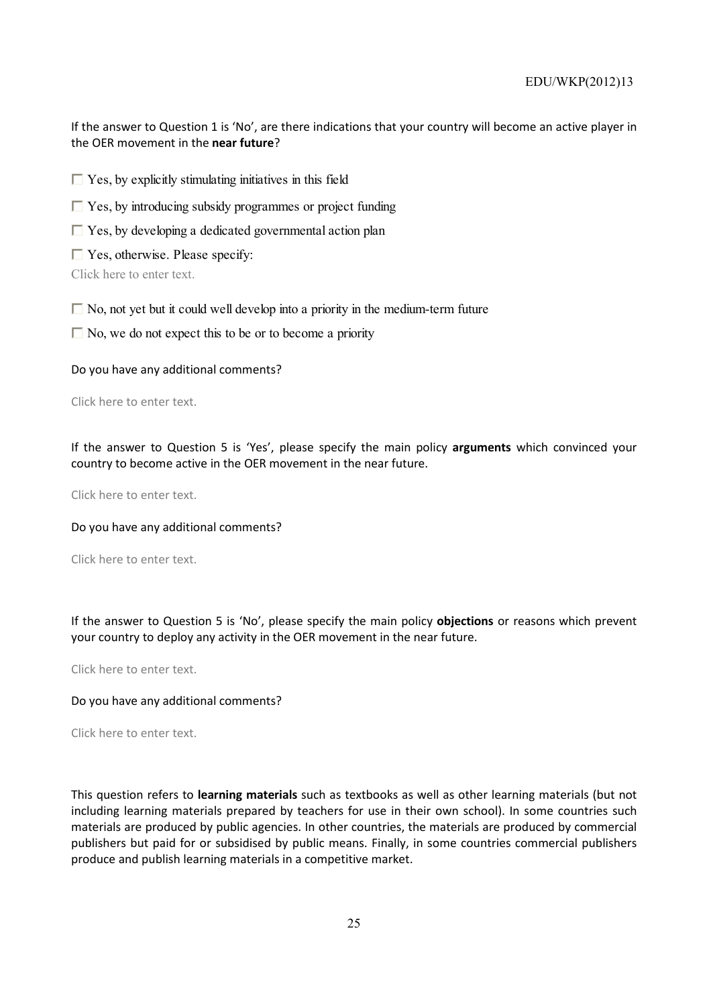If the answer to Question 1 is 'No', are there indications that your country will become an active player in the OER movement in the **near future**?

 $\Box$  Yes, by explicitly stimulating initiatives in this field

- $\Box$  Yes, by introducing subsidy programmes or project funding
- $\Box$  Yes, by developing a dedicated governmental action plan
- $\Box$  Yes, otherwise. Please specify:

Click here to enter text.

 $\Box$  No, not yet but it could well develop into a priority in the medium-term future

 $\Box$  No, we do not expect this to be or to become a priority

Do you have any additional comments?

Click here to enter text.

If the answer to Question 5 is 'Yes', please specify the main policy **arguments** which convinced your country to become active in the OER movement in the near future.

Click here to enter text.

Do you have any additional comments?

Click here to enter text.

If the answer to Question 5 is 'No', please specify the main policy **objections** or reasons which prevent your country to deploy any activity in the OER movement in the near future.

Click here to enter text.

#### Do you have any additional comments?

Click here to enter text.

This question refers to **learning materials** such as textbooks as well as other learning materials (but not including learning materials prepared by teachers for use in their own school). In some countries such materials are produced by public agencies. In other countries, the materials are produced by commercial publishers but paid for or subsidised by public means. Finally, in some countries commercial publishers produce and publish learning materials in a competitive market.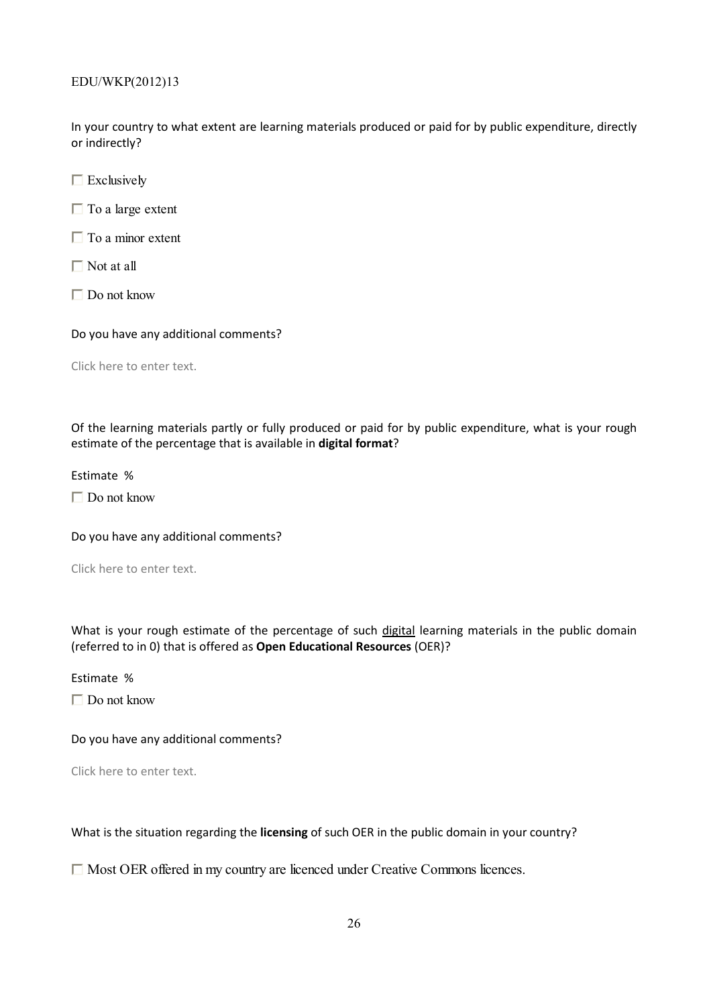In your country to what extent are learning materials produced or paid for by public expenditure, directly or indirectly?

 $\Box$  Exclusively

 $\Box$  To a large extent

 $\Box$  To a minor extent

 $\Box$  Not at all

□ Do not know

Do you have any additional comments?

Click here to enter text.

Of the learning materials partly or fully produced or paid for by public expenditure, what is your rough estimate of the percentage that is available in **digital format**?

Estimate %

 $\Box$  Do not know

Do you have any additional comments?

Click here to enter text.

What is your rough estimate of the percentage of such digital learning materials in the public domain (referred to in 0) that is offered as **Open Educational Resources** (OER)?

Estimate %

 $\Box$  Do not know

Do you have any additional comments?

Click here to enter text.

What is the situation regarding the **licensing** of such OER in the public domain in your country?

Most OER offered in my country are licenced under Creative Commons licences.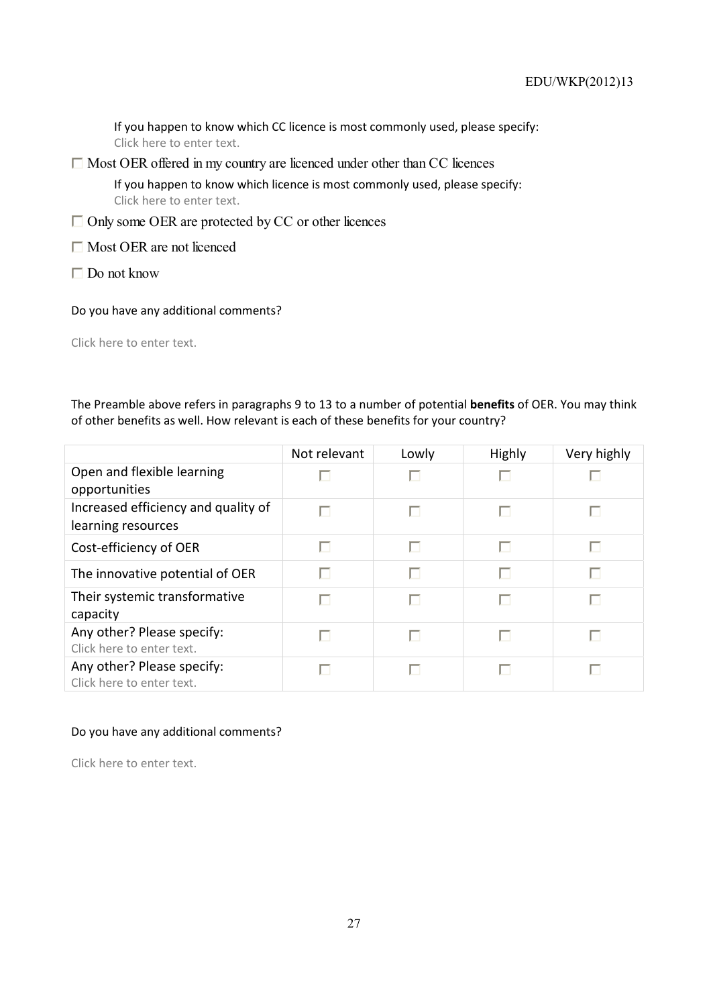If you happen to know which CC licence is most commonly used, please specify: Click here to enter text.

 $\Box$  Most OER offered in my country are licenced under other than CC licences

If you happen to know which licence is most commonly used, please specify: Click here to enter text.

- $\Box$  Only some OER are protected by CC or other licences
- $\Box$  Most OER are not licenced
- $\Box$  Do not know
- Do you have any additional comments?

Click here to enter text.

The Preamble above refers in paragraphs 9 to 13 to a number of potential **benefits** of OER. You may think of other benefits as well. How relevant is each of these benefits for your country?

|                                                           | Not relevant | Lowly | <b>Highly</b> | Very highly |
|-----------------------------------------------------------|--------------|-------|---------------|-------------|
| Open and flexible learning<br>opportunities               |              |       |               |             |
| Increased efficiency and quality of<br>learning resources |              |       | п             |             |
| Cost-efficiency of OER                                    |              |       |               |             |
| The innovative potential of OER                           |              |       |               |             |
| Their systemic transformative<br>capacity                 |              |       |               |             |
| Any other? Please specify:<br>Click here to enter text.   |              |       |               |             |
| Any other? Please specify:<br>Click here to enter text.   |              |       |               |             |

# Do you have any additional comments?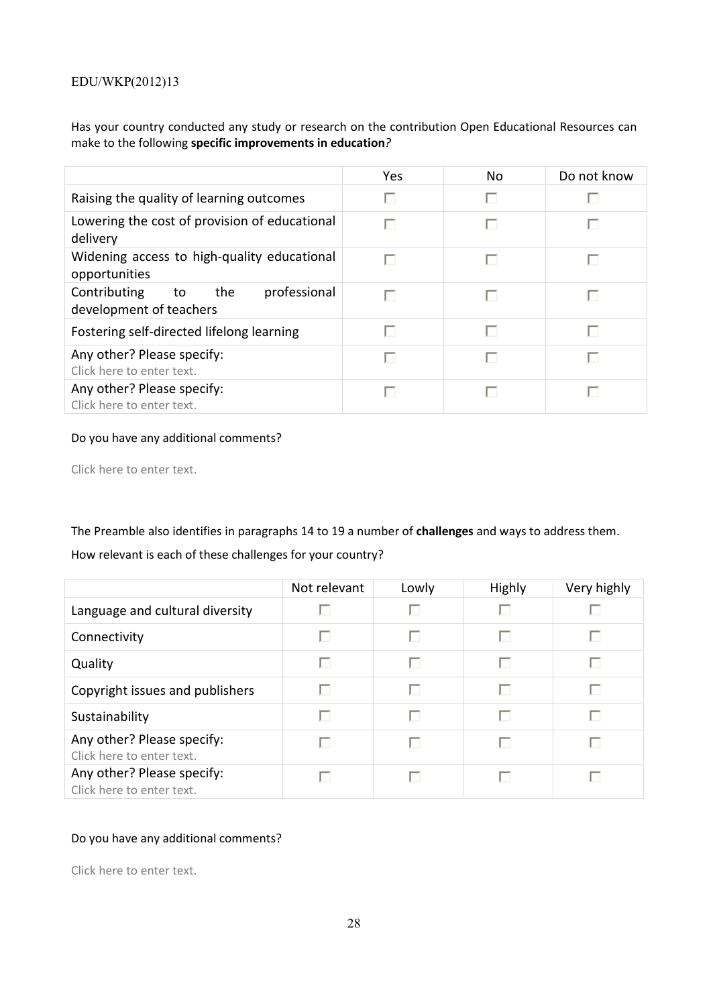Has your country conducted any study or research on the contribution Open Educational Resources can make to the following **specific improvements in education***?* 

|                                                                      | Yes | N <sub>o</sub> | Do not know |
|----------------------------------------------------------------------|-----|----------------|-------------|
| Raising the quality of learning outcomes                             |     |                |             |
| Lowering the cost of provision of educational<br>delivery            |     |                |             |
| Widening access to high-quality educational<br>opportunities         |     |                |             |
| Contributing<br>professional<br>to<br>the<br>development of teachers |     |                |             |
| Fostering self-directed lifelong learning                            |     |                |             |
| Any other? Please specify:<br>Click here to enter text.              |     |                |             |
| Any other? Please specify:<br>Click here to enter text.              |     |                |             |

# Do you have any additional comments?

Click here to enter text.

The Preamble also identifies in paragraphs 14 to 19 a number of **challenges** and ways to address them.

# How relevant is each of these challenges for your country?

|                                                         | Not relevant | Lowly | <b>Highly</b> | Very highly |
|---------------------------------------------------------|--------------|-------|---------------|-------------|
| Language and cultural diversity                         |              |       |               |             |
| Connectivity                                            |              |       |               | U           |
| Quality                                                 | ш            |       |               | п           |
| Copyright issues and publishers                         |              |       |               | U           |
| Sustainability                                          |              |       |               | п           |
| Any other? Please specify:<br>Click here to enter text. |              |       |               | L.          |
| Any other? Please specify:<br>Click here to enter text. |              |       |               |             |

# Do you have any additional comments?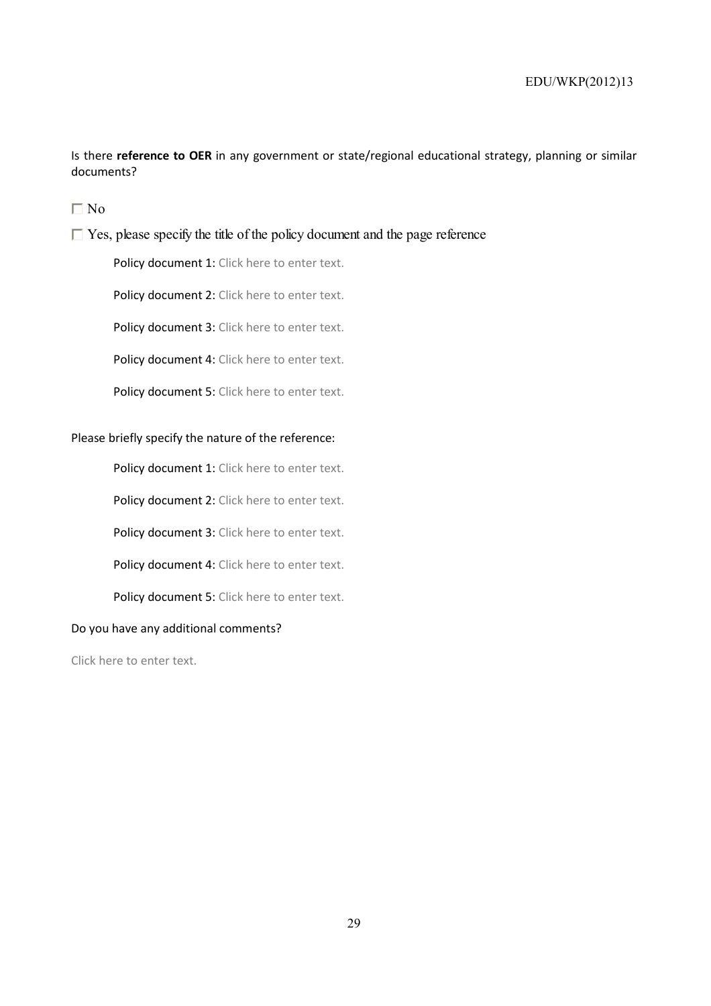Is there **reference to OER** in any government or state/regional educational strategy, planning or similar documents?

 $\n **N**$ 

 $\Box$  Yes, please specify the title of the policy document and the page reference

Policy document 1: Click here to enter text.

Policy document 2: Click here to enter text.

Policy document 3: Click here to enter text.

Policy document 4: Click here to enter text.

Policy document 5: Click here to enter text.

# Please briefly specify the nature of the reference:

Policy document 1: Click here to enter text.

Policy document 2: Click here to enter text.

Policy document 3: Click here to enter text.

Policy document 4: Click here to enter text.

Policy document 5: Click here to enter text.

# Do you have any additional comments?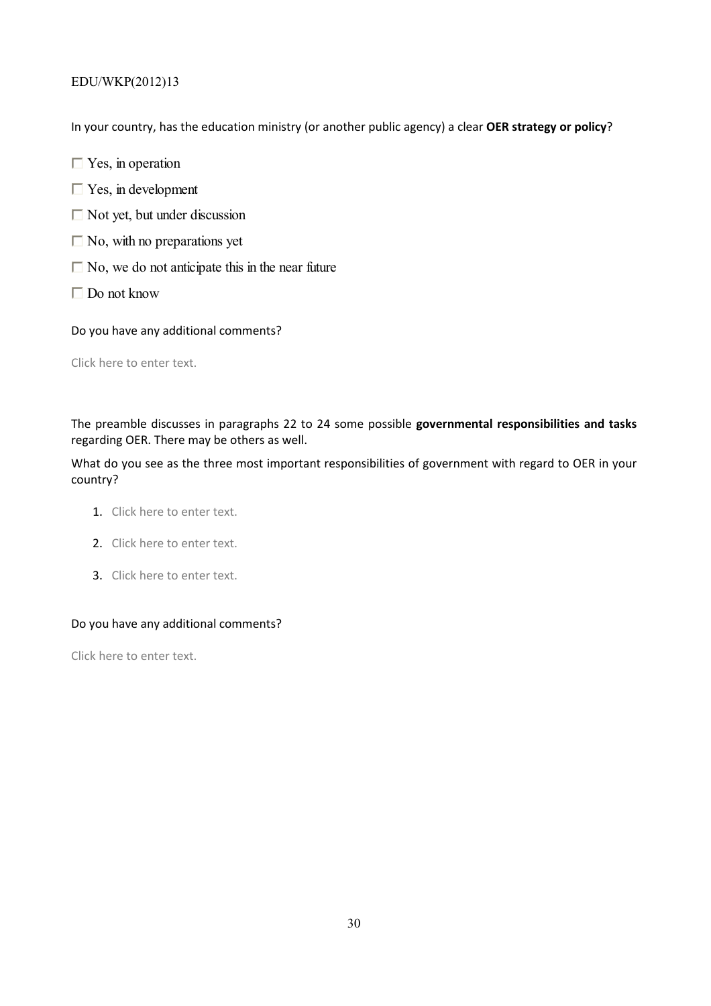In your country, has the education ministry (or another public agency) a clear **OER strategy or policy**?

- $\Box$  Yes, in operation
- $\Box$  Yes, in development
- $\Box$  Not yet, but under discussion
- $\Box$  No, with no preparations yet
- $\Box$  No, we do not anticipate this in the near future
- Do not know

Do you have any additional comments?

Click here to enter text.

The preamble discusses in paragraphs 22 to 24 some possible **governmental responsibilities and tasks** regarding OER. There may be others as well.

What do you see as the three most important responsibilities of government with regard to OER in your country?

- 1. Click here to enter text.
- 2. Click here to enter text.
- 3. Click here to enter text.

# Do you have any additional comments?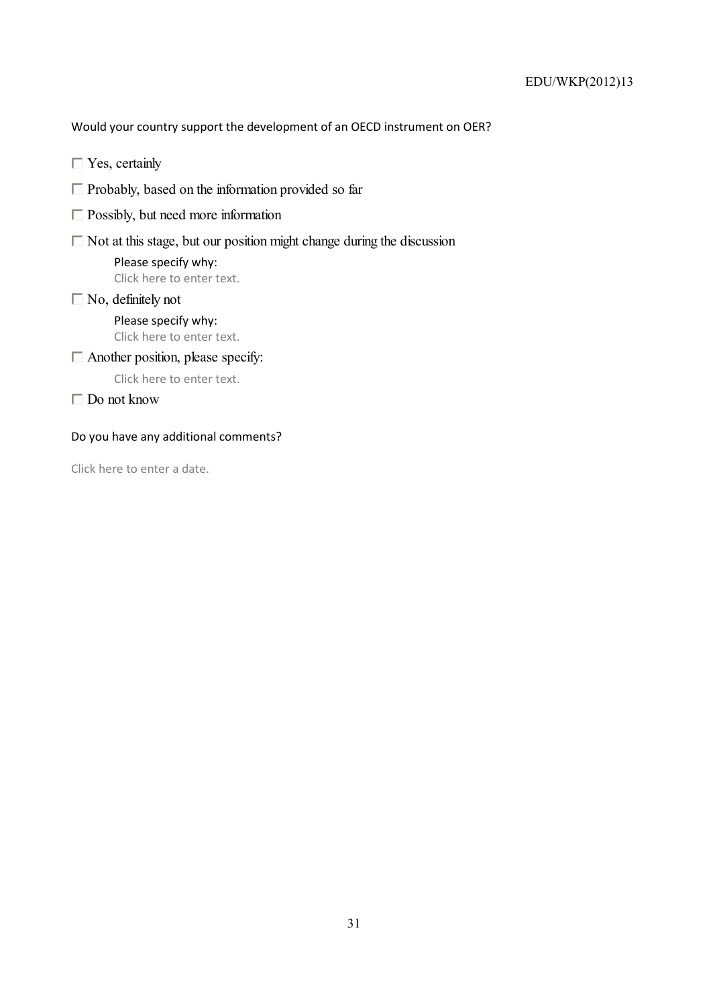Would your country support the development of an OECD instrument on OER?

- $\Box$  Yes, certainly
- $\Box$  Probably, based on the information provided so far
- $\Box$  Possibly, but need more information
- $\Box$  Not at this stage, but our position might change during the discussion

Please specify why: Click here to enter text.

# $\Box$  No, definitely not<br>Please specify why:

Click here to enter text.

# $\Box$  Another position, please specify:

Click here to enter text.

 $\Box$  Do not know

# Do you have any additional comments?

Click here to enter a date.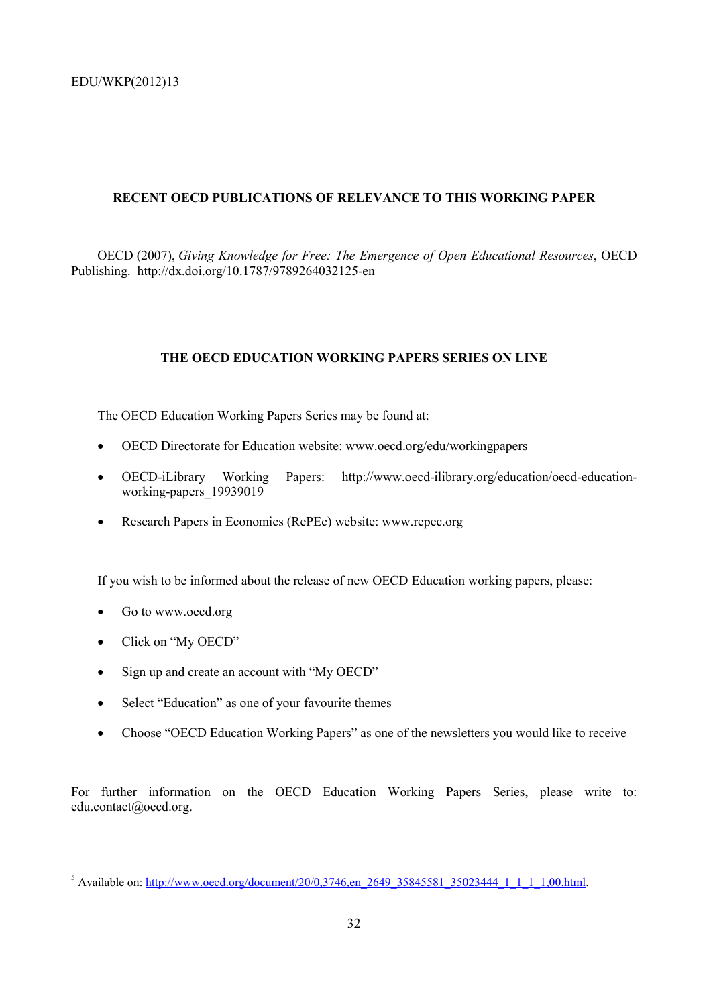# **RECENT OECD PUBLICATIONS OF RELEVANCE TO THIS WORKING PAPER**

OECD (2007), *Giving Knowledge for Free: The Emergence of Open Educational Resources*, OECD Publishing. http://dx.doi.org/10.1787/9789264032125-en

# **THE OECD EDUCATION WORKING PAPERS SERIES ON LINE**

The OECD Education Working Papers Series may be found at:

- OECD Directorate for Education website: www.oecd.org/edu/workingpapers
- OECD-iLibrary Working Papers: http://www.oecd-ilibrary.org/education/oecd-educationworking-papers 19939019
- Research Papers in Economics (RePEc) website: www.repec.org

If you wish to be informed about the release of new OECD Education working papers, please:

- Go to www.oecd.org
- Click on "My OECD"

- Sign up and create an account with "My OECD"
- Select "Education" as one of your favourite themes
- Choose "OECD Education Working Papers" as one of the newsletters you would like to receive

For further information on the OECD Education Working Papers Series, please write to: edu.contact@oecd.org.

<sup>&</sup>lt;sup>5</sup> Available on: http://www.oecd.org/document/20/0,3746,en\_2649\_35845581\_35023444\_1\_1\_1\_1,00.html.